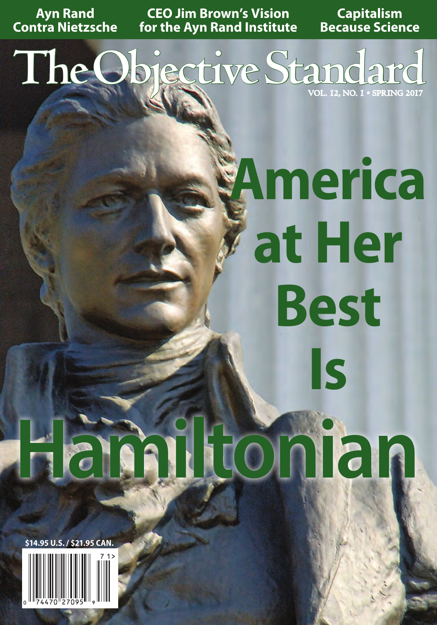**Ayn Rand Contra Nietzsche**

**CEO Jim Brown's Vision for the Ayn Rand Institute**

**Capitalism Because Science**

The Objective Standard

## **America at Her Best Is**

# **Hamiltonian**

**\$14.95 U.S. / \$21.95 CAN.**

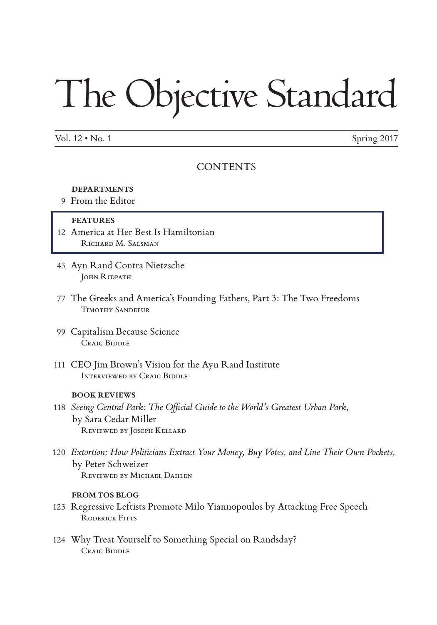## The Objective Standard

Vol.  $12 \cdot$  No. 1 Spring 2017

#### CONTENTS

#### **DEPARTMENTS**

9 From the Editor

#### **FEATURES**

- 12 America at Her Best Is Hamiltonian RICHARD M. SALSMAN
- 43 Ayn Rand Contra Nietzsche JOHN RIDPATH
- 77 The Greeks and America's Founding Fathers, Part 3: The Two Freedoms Timothy Sandefur
- 99 Capitalism Because Science CRAIG BIDDLE
- 111 CEO Jim Brown's Vision for the Ayn Rand Institute Interviewed by Craig Biddle

#### **BOOK REVIEWS**

- 118 *Seeing Central Park: The Official Guide to the World's Greatest Urban Park*, by Sara Cedar Miller Reviewed by Joseph Kellard
- 120 *Extortion: How Politicians Extract Your Money, Buy Votes, and Line Their Own Pockets,*  by Peter Schweizer Reviewed by Michael Dahlen

#### **FROM TOS BLOG**

- 123 Regressive Leftists Promote Milo Yiannopoulos by Attacking Free Speech RODERICK FITTS
- 124 Why Treat Yourself to Something Special on Randsday? Craig Biddle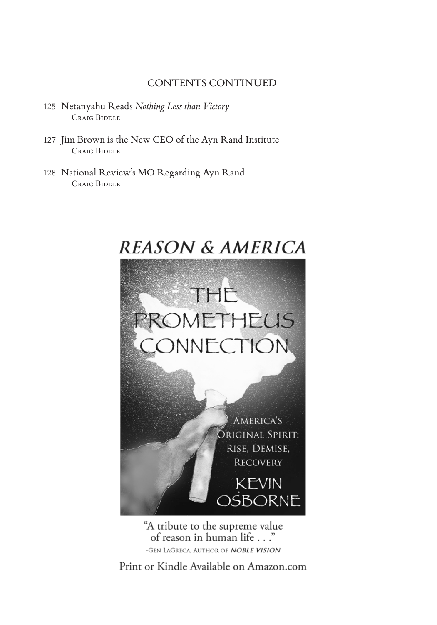#### CONTENTS CONTINUED

- 125 Netanyahu Reads *Nothing Less than Victory* Craig Biddle
- 127 Jim Brown is the New CEO of the Ayn Rand Institute Craig Biddle
- 128 National Review's MO Regarding Ayn Rand Craig Biddle



"A tribute to the supreme value of reason in human life . . ." -GEN LAGRECA, AUTHOR OF *NOBLE VISION* 

Print or Kindle Available on Amazon.com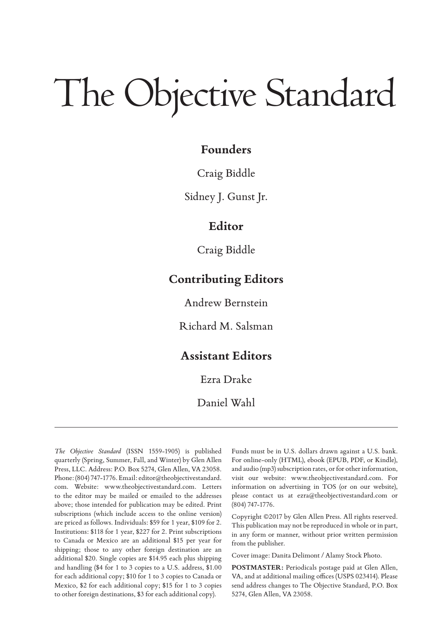### The Objective Standard

#### **Founders**

#### Craig Biddle

Sidney J. Gunst Jr.

#### **Editor**

Craig Biddle

#### **Contributing Editors**

Andrew Bernstein

Richard M. Salsman

#### **Assistant Editors**

Ezra Drake

Daniel Wahl

*The Objective Standard* (ISSN 1559-1905) is published quarterly (Spring, Summer, Fall, and Winter) by Glen Allen Press, LLC. Address: P.O. Box 5274, Glen Allen, VA 23058. Phone: (804) 747-1776. Email: editor@theobjectivestandard. com. Website: www.theobjectivestandard.com. Letters to the editor may be mailed or emailed to the addresses above; those intended for publication may be edited. Print subscriptions (which include access to the online version) are priced as follows. Individuals: \$59 for 1 year, \$109 for 2. Institutions: \$118 for 1 year, \$227 for 2. Print subscriptions to Canada or Mexico are an additional \$15 per year for shipping; those to any other foreign destination are an additional \$20. Single copies are \$14.95 each plus shipping and handling (\$4 for 1 to 3 copies to a U.S. address, \$1.00 for each additional copy; \$10 for 1 to 3 copies to Canada or Mexico, \$2 for each additional copy; \$15 for 1 to 3 copies to other foreign destinations, \$3 for each additional copy).

Funds must be in U.S. dollars drawn against a U.S. bank. For online-only (HTML), ebook (EPUB, PDF, or Kindle), and audio (mp3) subscription rates, or for other information, visit our website: www.theobjectivestandard.com. For information on advertising in TOS (or on our website), please contact us at ezra@theobjectivestandard.com or (804) 747-1776.

Copyright ©2017 by Glen Allen Press. All rights reserved. This publication may not be reproduced in whole or in part, in any form or manner, without prior written permission from the publisher.

Cover image: Danita Delimont / Alamy Stock Photo.

**POSTMASTER:** Periodicals postage paid at Glen Allen, VA, and at additional mailing offices (USPS 023414). Please send address changes to The Objective Standard, P.O. Box 5274, Glen Allen, VA 23058.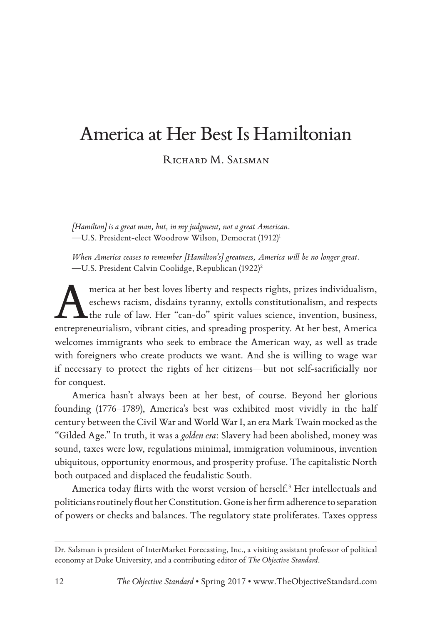#### America at Her Best Is Hamiltonian

RICHARD M. SALSMAN

*[Hamilton] is a great man, but, in my judgment, not a great American.* —U.S. President-elect Woodrow Wilson, Democrat (1912)1

*When America ceases to remember [Hamilton's] greatness, America will be no longer great.* —U.S. President Calvin Coolidge, Republican (1922)2

merica at her best loves liberty and respects rights, prizes individualism, eschews racism, disdains tyranny, extolls constitutionalism, and respects the rule of law. Her "can-do" spirit values science, invention, business eschews racism, disdains tyranny, extolls constitutionalism, and respects the rule of law. Her "can-do" spirit values science, invention, business, entrepreneurialism, vibrant cities, and spreading prosperity. At her best, America welcomes immigrants who seek to embrace the American way, as well as trade with foreigners who create products we want. And she is willing to wage war if necessary to protect the rights of her citizens—but not self-sacrificially nor for conquest.

America hasn't always been at her best, of course. Beyond her glorious founding (1776–1789), America's best was exhibited most vividly in the half century between the Civil War and World War I, an era Mark Twain mocked as the "Gilded Age." In truth, it was a *golden era*: Slavery had been abolished, money was sound, taxes were low, regulations minimal, immigration voluminous, invention ubiquitous, opportunity enormous, and prosperity profuse. The capitalistic North both outpaced and displaced the feudalistic South.

America today flirts with the worst version of herself.<sup>3</sup> Her intellectuals and politicians routinely flout her Constitution. Gone is her firm adherence to separation of powers or checks and balances. The regulatory state proliferates. Taxes oppress

Dr. Salsman is president of InterMarket Forecasting, Inc., a visiting assistant professor of political economy at Duke University, and a contributing editor of *The Objective Standard*.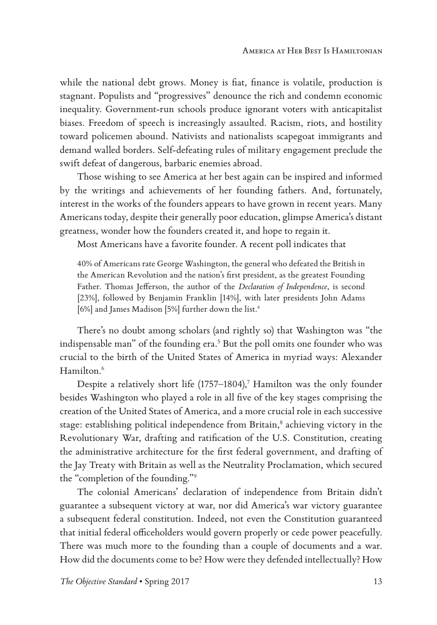while the national debt grows. Money is fiat, finance is volatile, production is stagnant. Populists and "progressives" denounce the rich and condemn economic inequality. Government-run schools produce ignorant voters with anticapitalist biases. Freedom of speech is increasingly assaulted. Racism, riots, and hostility toward policemen abound. Nativists and nationalists scapegoat immigrants and demand walled borders. Self-defeating rules of military engagement preclude the swift defeat of dangerous, barbaric enemies abroad.

Those wishing to see America at her best again can be inspired and informed by the writings and achievements of her founding fathers. And, fortunately, interest in the works of the founders appears to have grown in recent years. Many Americans today, despite their generally poor education, glimpse America's distant greatness, wonder how the founders created it, and hope to regain it.

Most Americans have a favorite founder. A recent poll indicates that

40% of Americans rate George Washington, the general who defeated the British in the American Revolution and the nation's first president, as the greatest Founding Father. Thomas Jefferson, the author of the *Declaration of Independence*, is second [23%], followed by Benjamin Franklin [14%], with later presidents John Adams [6%] and James Madison [5%] further down the list.<sup>4</sup>

There's no doubt among scholars (and rightly so) that Washington was "the indispensable man" of the founding era.<sup>5</sup> But the poll omits one founder who was crucial to the birth of the United States of America in myriad ways: Alexander Hamilton.<sup>6</sup>

Despite a relatively short life (1757–1804), $^7$  Hamilton was the only founder besides Washington who played a role in all five of the key stages comprising the creation of the United States of America, and a more crucial role in each successive stage: establishing political independence from Britain,<sup>8</sup> achieving victory in the Revolutionary War, drafting and ratification of the U.S. Constitution, creating the administrative architecture for the first federal government, and drafting of the Jay Treaty with Britain as well as the Neutrality Proclamation, which secured the "completion of the founding."9

The colonial Americans' declaration of independence from Britain didn't guarantee a subsequent victory at war, nor did America's war victory guarantee a subsequent federal constitution. Indeed, not even the Constitution guaranteed that initial federal officeholders would govern properly or cede power peacefully. There was much more to the founding than a couple of documents and a war. How did the documents come to be? How were they defended intellectually? How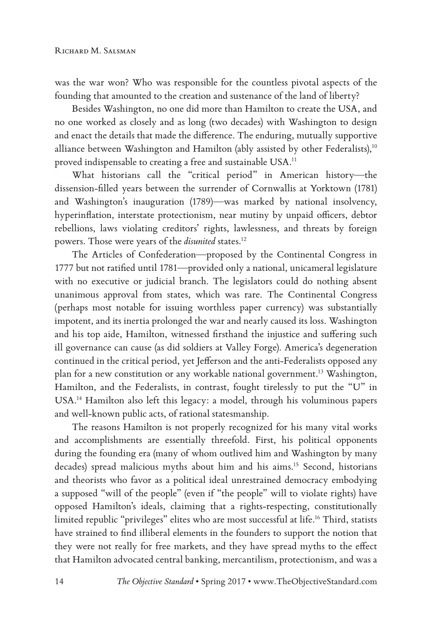was the war won? Who was responsible for the countless pivotal aspects of the founding that amounted to the creation and sustenance of the land of liberty?

Besides Washington, no one did more than Hamilton to create the USA, and no one worked as closely and as long (two decades) with Washington to design and enact the details that made the difference. The enduring, mutually supportive alliance between Washington and Hamilton (ably assisted by other Federalists),<sup>10</sup> proved indispensable to creating a free and sustainable USA.<sup>11</sup>

What historians call the "critical period" in American history—the dissension-filled years between the surrender of Cornwallis at Yorktown (1781) and Washington's inauguration (1789)—was marked by national insolvency, hyperinflation, interstate protectionism, near mutiny by unpaid officers, debtor rebellions, laws violating creditors' rights, lawlessness, and threats by foreign powers. Those were years of the *disunited* states.<sup>12</sup>

The Articles of Confederation—proposed by the Continental Congress in 1777 but not ratified until 1781—provided only a national, unicameral legislature with no executive or judicial branch. The legislators could do nothing absent unanimous approval from states, which was rare. The Continental Congress (perhaps most notable for issuing worthless paper currency) was substantially impotent, and its inertia prolonged the war and nearly caused its loss. Washington and his top aide, Hamilton, witnessed firsthand the injustice and suffering such ill governance can cause (as did soldiers at Valley Forge). America's degeneration continued in the critical period, yet Jefferson and the anti-Federalists opposed any plan for a new constitution or any workable national government.13 Washington, Hamilton, and the Federalists, in contrast, fought tirelessly to put the "U" in USA.14 Hamilton also left this legacy: a model, through his voluminous papers and well-known public acts, of rational statesmanship.

The reasons Hamilton is not properly recognized for his many vital works and accomplishments are essentially threefold. First, his political opponents during the founding era (many of whom outlived him and Washington by many decades) spread malicious myths about him and his aims.15 Second, historians and theorists who favor as a political ideal unrestrained democracy embodying a supposed "will of the people" (even if "the people" will to violate rights) have opposed Hamilton's ideals, claiming that a rights-respecting, constitutionally limited republic "privileges" elites who are most successful at life.16 Third, statists have strained to find illiberal elements in the founders to support the notion that they were not really for free markets, and they have spread myths to the effect that Hamilton advocated central banking, mercantilism, protectionism, and was a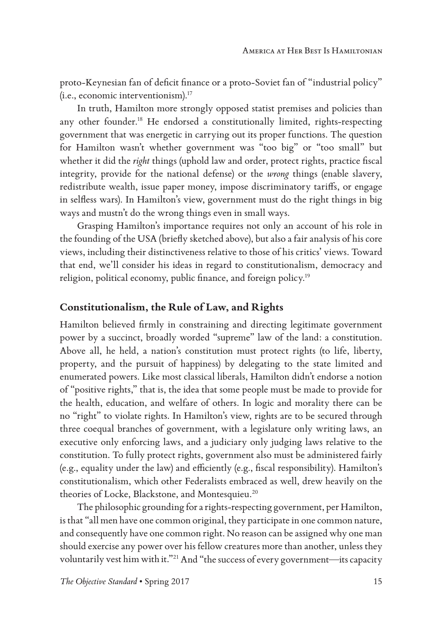proto-Keynesian fan of deficit finance or a proto-Soviet fan of "industrial policy" (i.e., economic interventionism).17

In truth, Hamilton more strongly opposed statist premises and policies than any other founder.<sup>18</sup> He endorsed a constitutionally limited, rights-respecting government that was energetic in carrying out its proper functions. The question for Hamilton wasn't whether government was "too big" or "too small" but whether it did the *right* things (uphold law and order, protect rights, practice fiscal integrity, provide for the national defense) or the *wrong* things (enable slavery, redistribute wealth, issue paper money, impose discriminatory tariffs, or engage in selfless wars). In Hamilton's view, government must do the right things in big ways and mustn't do the wrong things even in small ways.

Grasping Hamilton's importance requires not only an account of his role in the founding of the USA (briefly sketched above), but also a fair analysis of his core views, including their distinctiveness relative to those of his critics' views. Toward that end, we'll consider his ideas in regard to constitutionalism, democracy and religion, political economy, public finance, and foreign policy.19

#### **Constitutionalism, the Rule of Law, and Rights**

Hamilton believed firmly in constraining and directing legitimate government power by a succinct, broadly worded "supreme" law of the land: a constitution. Above all, he held, a nation's constitution must protect rights (to life, liberty, property, and the pursuit of happiness) by delegating to the state limited and enumerated powers. Like most classical liberals, Hamilton didn't endorse a notion of "positive rights," that is, the idea that some people must be made to provide for the health, education, and welfare of others. In logic and morality there can be no "right" to violate rights. In Hamilton's view, rights are to be secured through three coequal branches of government, with a legislature only writing laws, an executive only enforcing laws, and a judiciary only judging laws relative to the constitution. To fully protect rights, government also must be administered fairly (e.g., equality under the law) and efficiently (e.g., fiscal responsibility). Hamilton's constitutionalism, which other Federalists embraced as well, drew heavily on the theories of Locke, Blackstone, and Montesquieu.<sup>20</sup>

The philosophic grounding for a rights-respecting government, per Hamilton, is that "all men have one common original, they participate in one common nature, and consequently have one common right. No reason can be assigned why one man should exercise any power over his fellow creatures more than another, unless they voluntarily vest him with it."21 And "the success of every government—its capacity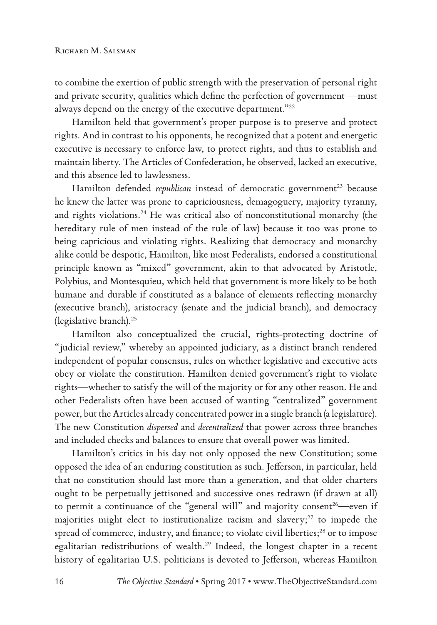to combine the exertion of public strength with the preservation of personal right and private security, qualities which define the perfection of government —must always depend on the energy of the executive department."22

Hamilton held that government's proper purpose is to preserve and protect rights. And in contrast to his opponents, he recognized that a potent and energetic executive is necessary to enforce law, to protect rights, and thus to establish and maintain liberty. The Articles of Confederation, he observed, lacked an executive, and this absence led to lawlessness.

Hamilton defended *republican* instead of democratic government<sup>23</sup> because he knew the latter was prone to capriciousness, demagoguery, majority tyranny, and rights violations.<sup>24</sup> He was critical also of nonconstitutional monarchy (the hereditary rule of men instead of the rule of law) because it too was prone to being capricious and violating rights. Realizing that democracy and monarchy alike could be despotic, Hamilton, like most Federalists, endorsed a constitutional principle known as "mixed" government, akin to that advocated by Aristotle, Polybius, and Montesquieu, which held that government is more likely to be both humane and durable if constituted as a balance of elements reflecting monarchy (executive branch), aristocracy (senate and the judicial branch), and democracy (legislative branch).25

Hamilton also conceptualized the crucial, rights-protecting doctrine of "judicial review," whereby an appointed judiciary, as a distinct branch rendered independent of popular consensus, rules on whether legislative and executive acts obey or violate the constitution. Hamilton denied government's right to violate rights—whether to satisfy the will of the majority or for any other reason. He and other Federalists often have been accused of wanting "centralized" government power, but the Articles already concentrated power in a single branch (a legislature). The new Constitution *dispersed* and *decentralized* that power across three branches and included checks and balances to ensure that overall power was limited.

Hamilton's critics in his day not only opposed the new Constitution; some opposed the idea of an enduring constitution as such. Jefferson, in particular, held that no constitution should last more than a generation, and that older charters ought to be perpetually jettisoned and successive ones redrawn (if drawn at all) to permit a continuance of the "general will" and majority consent<sup>26</sup>—even if majorities might elect to institutionalize racism and slavery; $27$  to impede the spread of commerce, industry, and finance; to violate civil liberties;<sup>28</sup> or to impose egalitarian redistributions of wealth.<sup>29</sup> Indeed, the longest chapter in a recent history of egalitarian U.S. politicians is devoted to Jefferson, whereas Hamilton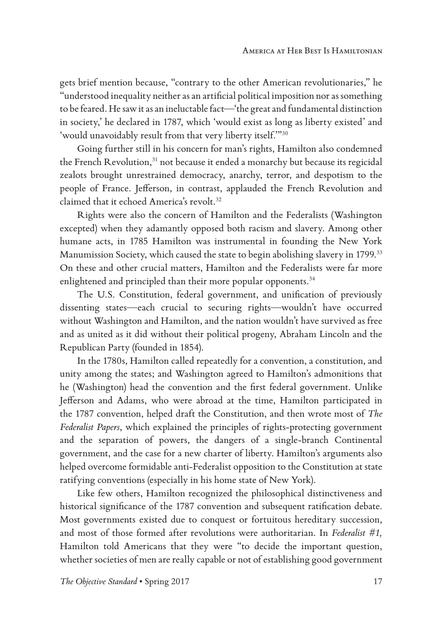gets brief mention because, "contrary to the other American revolutionaries," he "understood inequality neither as an artificial political imposition nor as something to be feared. He saw it as an ineluctable fact—'the great and fundamental distinction in society,' he declared in 1787, which 'would exist as long as liberty existed' and 'would unavoidably result from that very liberty itself.'"30

Going further still in his concern for man's rights, Hamilton also condemned the French Revolution,<sup>31</sup> not because it ended a monarchy but because its regicidal zealots brought unrestrained democracy, anarchy, terror, and despotism to the people of France. Jefferson, in contrast, applauded the French Revolution and claimed that it echoed America's revolt.<sup>32</sup>

Rights were also the concern of Hamilton and the Federalists (Washington excepted) when they adamantly opposed both racism and slavery. Among other humane acts, in 1785 Hamilton was instrumental in founding the New York Manumission Society, which caused the state to begin abolishing slavery in 1799.<sup>33</sup> On these and other crucial matters, Hamilton and the Federalists were far more enlightened and principled than their more popular opponents.<sup>34</sup>

The U.S. Constitution, federal government, and unification of previously dissenting states—each crucial to securing rights—wouldn't have occurred without Washington and Hamilton, and the nation wouldn't have survived as free and as united as it did without their political progeny, Abraham Lincoln and the Republican Party (founded in 1854).

In the 1780s, Hamilton called repeatedly for a convention, a constitution, and unity among the states; and Washington agreed to Hamilton's admonitions that he (Washington) head the convention and the first federal government. Unlike Jefferson and Adams, who were abroad at the time, Hamilton participated in the 1787 convention, helped draft the Constitution, and then wrote most of *The Federalist Papers*, which explained the principles of rights-protecting government and the separation of powers, the dangers of a single-branch Continental government, and the case for a new charter of liberty. Hamilton's arguments also helped overcome formidable anti-Federalist opposition to the Constitution at state ratifying conventions (especially in his home state of New York).

Like few others, Hamilton recognized the philosophical distinctiveness and historical significance of the 1787 convention and subsequent ratification debate. Most governments existed due to conquest or fortuitous hereditary succession, and most of those formed after revolutions were authoritarian. In *Federalist #1,* Hamilton told Americans that they were "to decide the important question, whether societies of men are really capable or not of establishing good government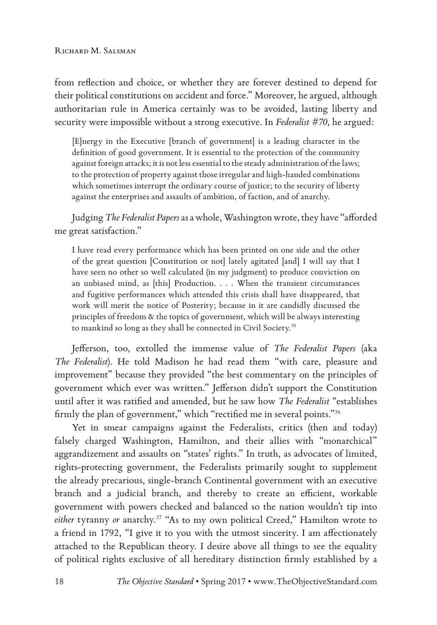from reflection and choice, or whether they are forever destined to depend for their political constitutions on accident and force." Moreover, he argued, although authoritarian rule in America certainly was to be avoided, lasting liberty and security were impossible without a strong executive. In *Federalist #70*, he argued:

[E]nergy in the Executive [branch of government] is a leading character in the definition of good government. It is essential to the protection of the community against foreign attacks; it is not less essential to the steady administration of the laws; to the protection of property against those irregular and high-handed combinations which sometimes interrupt the ordinary course of justice; to the security of liberty against the enterprises and assaults of ambition, of faction, and of anarchy.

Judging *The Federalist Papers* as a whole, Washington wrote, they have "afforded me great satisfaction."

I have read every performance which has been printed on one side and the other of the great question [Constitution or not] lately agitated [and] I will say that I have seen no other so well calculated (in my judgment) to produce conviction on an unbiased mind, as [this] Production. . . . When the transient circumstances and fugitive performances which attended this crisis shall have disappeared, that work will merit the notice of Posterity; because in it are candidly discussed the principles of freedom & the topics of government, which will be always interesting to mankind so long as they shall be connected in Civil Society.<sup>35</sup>

Jefferson, too, extolled the immense value of *The Federalist Papers* (aka *The Federalist*). He told Madison he had read them "with care, pleasure and improvement" because they provided "the best commentary on the principles of government which ever was written." Jefferson didn't support the Constitution until after it was ratified and amended, but he saw how *The Federalist* "establishes firmly the plan of government," which "rectified me in several points."<sup>36</sup>

Yet in smear campaigns against the Federalists, critics (then and today) falsely charged Washington, Hamilton, and their allies with "monarchical" aggrandizement and assaults on "states' rights." In truth, as advocates of limited, rights-protecting government, the Federalists primarily sought to supplement the already precarious, single-branch Continental government with an executive branch and a judicial branch, and thereby to create an efficient, workable government with powers checked and balanced so the nation wouldn't tip into either tyranny or anarchy.<sup>37</sup> "As to my own political Creed," Hamilton wrote to a friend in 1792, "I give it to you with the utmost sincerity. I am affectionately attached to the Republican theory. I desire above all things to see the equality of political rights exclusive of all hereditary distinction firmly established by a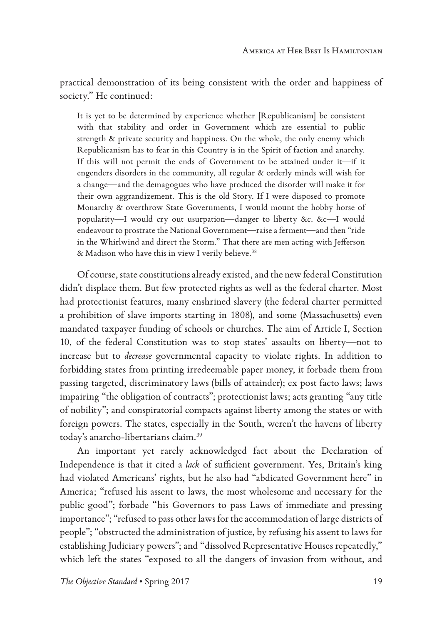practical demonstration of its being consistent with the order and happiness of society." He continued:

It is yet to be determined by experience whether [Republicanism] be consistent with that stability and order in Government which are essential to public strength & private security and happiness. On the whole, the only enemy which Republicanism has to fear in this Country is in the Spirit of faction and anarchy. If this will not permit the ends of Government to be attained under it—if it engenders disorders in the community, all regular & orderly minds will wish for a change—and the demagogues who have produced the disorder will make it for their own aggrandizement. This is the old Story. If I were disposed to promote Monarchy & overthrow State Governments, I would mount the hobby horse of popularity—I would cry out usurpation—danger to liberty &c. &c—I would endeavour to prostrate the National Government—raise a ferment—and then "ride in the Whirlwind and direct the Storm." That there are men acting with Jefferson & Madison who have this in view I verily believe.<sup>38</sup>

Of course, state constitutions already existed, and the new federal Constitution didn't displace them. But few protected rights as well as the federal charter. Most had protectionist features, many enshrined slavery (the federal charter permitted a prohibition of slave imports starting in 1808), and some (Massachusetts) even mandated taxpayer funding of schools or churches. The aim of Article I, Section 10, of the federal Constitution was to stop states' assaults on liberty—not to increase but to *decrease* governmental capacity to violate rights. In addition to forbidding states from printing irredeemable paper money, it forbade them from passing targeted, discriminatory laws (bills of attainder); ex post facto laws; laws impairing "the obligation of contracts"; protectionist laws; acts granting "any title of nobility"; and conspiratorial compacts against liberty among the states or with foreign powers. The states, especially in the South, weren't the havens of liberty today's anarcho-libertarians claim.39

An important yet rarely acknowledged fact about the Declaration of Independence is that it cited a *lack* of sufficient government. Yes, Britain's king had violated Americans' rights, but he also had "abdicated Government here" in America; "refused his assent to laws, the most wholesome and necessary for the public good"; forbade "his Governors to pass Laws of immediate and pressing importance"; "refused to pass other laws for the accommodation of large districts of people"; "obstructed the administration of justice, by refusing his assent to laws for establishing Judiciary powers"; and "dissolved Representative Houses repeatedly," which left the states "exposed to all the dangers of invasion from without, and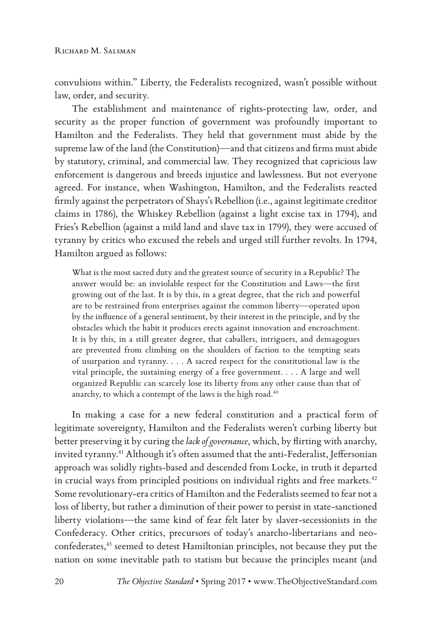convulsions within." Liberty, the Federalists recognized, wasn't possible without law, order, and security.

The establishment and maintenance of rights-protecting law, order, and security as the proper function of government was profoundly important to Hamilton and the Federalists. They held that government must abide by the supreme law of the land (the Constitution)—and that citizens and firms must abide by statutory, criminal, and commercial law. They recognized that capricious law enforcement is dangerous and breeds injustice and lawlessness. But not everyone agreed. For instance, when Washington, Hamilton, and the Federalists reacted firmly against the perpetrators of Shays's Rebellion (i.e., against legitimate creditor claims in 1786), the Whiskey Rebellion (against a light excise tax in 1794), and Fries's Rebellion (against a mild land and slave tax in 1799), they were accused of tyranny by critics who excused the rebels and urged still further revolts. In 1794, Hamilton argued as follows:

What is the most sacred duty and the greatest source of security in a Republic? The answer would be: an inviolable respect for the Constitution and Laws—the first growing out of the last. It is by this, in a great degree, that the rich and powerful are to be restrained from enterprises against the common liberty—operated upon by the influence of a general sentiment, by their interest in the principle, and by the obstacles which the habit it produces erects against innovation and encroachment. It is by this, in a still greater degree, that caballers, intriguers, and demagogues are prevented from climbing on the shoulders of faction to the tempting seats of usurpation and tyranny. . . . A sacred respect for the constitutional law is the vital principle, the sustaining energy of a free government. . . . A large and well organized Republic can scarcely lose its liberty from any other cause than that of anarchy, to which a contempt of the laws is the high road.<sup>40</sup>

In making a case for a new federal constitution and a practical form of legitimate sovereignty, Hamilton and the Federalists weren't curbing liberty but better preserving it by curing the *lack of governance*, which, by flirting with anarchy, invited tyranny.<sup>41</sup> Although it's often assumed that the anti-Federalist, Jeffersonian approach was solidly rights-based and descended from Locke, in truth it departed in crucial ways from principled positions on individual rights and free markets. $42$ Some revolutionary-era critics of Hamilton and the Federalists seemed to fear not a loss of liberty, but rather a diminution of their power to persist in state-sanctioned liberty violations—the same kind of fear felt later by slaver-secessionists in the Confederacy. Other critics, precursors of today's anarcho-libertarians and neoconfederates,<sup>43</sup> seemed to detest Hamiltonian principles, not because they put the nation on some inevitable path to statism but because the principles meant (and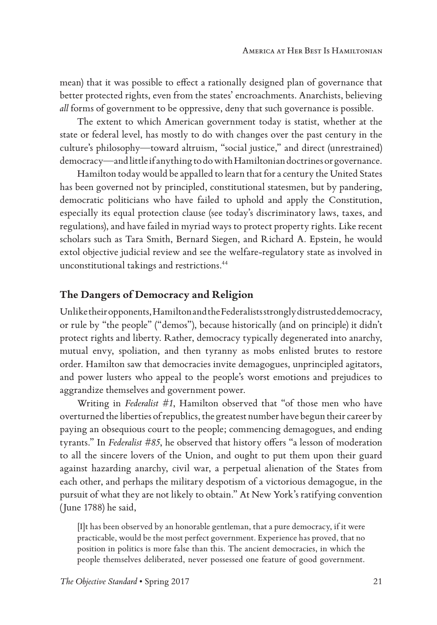mean) that it was possible to effect a rationally designed plan of governance that better protected rights, even from the states' encroachments. Anarchists, believing *all* forms of government to be oppressive, deny that such governance is possible.

The extent to which American government today is statist, whether at the state or federal level, has mostly to do with changes over the past century in the culture's philosophy—toward altruism, "social justice," and direct (unrestrained) democracy—and little if anything to do with Hamiltonian doctrines or governance.

Hamilton today would be appalled to learn that for a century the United States has been governed not by principled, constitutional statesmen, but by pandering, democratic politicians who have failed to uphold and apply the Constitution, especially its equal protection clause (see today's discriminatory laws, taxes, and regulations), and have failed in myriad ways to protect property rights. Like recent scholars such as Tara Smith, Bernard Siegen, and Richard A. Epstein, he would extol objective judicial review and see the welfare-regulatory state as involved in unconstitutional takings and restrictions.44

#### **The Dangers of Democracy and Religion**

Unlike their opponents, Hamilton and the Federalists strongly distrusted democracy, or rule by "the people" ("demos"), because historically (and on principle) it didn't protect rights and liberty. Rather, democracy typically degenerated into anarchy, mutual envy, spoliation, and then tyranny as mobs enlisted brutes to restore order. Hamilton saw that democracies invite demagogues, unprincipled agitators, and power lusters who appeal to the people's worst emotions and prejudices to aggrandize themselves and government power.

Writing in *Federalist #1*, Hamilton observed that "of those men who have overturned the liberties of republics, the greatest number have begun their career by paying an obsequious court to the people; commencing demagogues, and ending tyrants." In *Federalist #85*, he observed that history offers "a lesson of moderation to all the sincere lovers of the Union, and ought to put them upon their guard against hazarding anarchy, civil war, a perpetual alienation of the States from each other, and perhaps the military despotism of a victorious demagogue, in the pursuit of what they are not likely to obtain." At New York's ratifying convention (June 1788) he said,

[I]t has been observed by an honorable gentleman, that a pure democracy, if it were practicable, would be the most perfect government. Experience has proved, that no position in politics is more false than this. The ancient democracies, in which the people themselves deliberated, never possessed one feature of good government.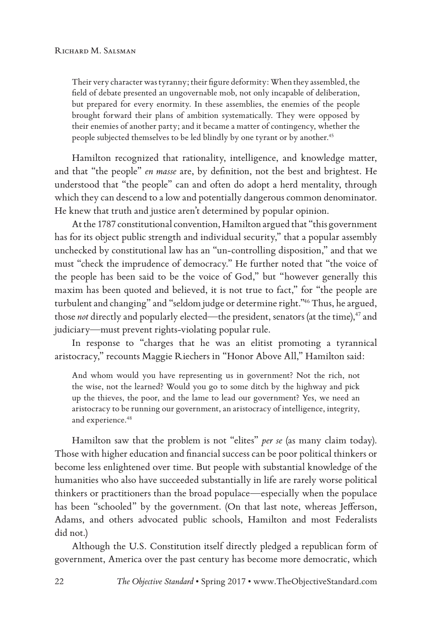Their very character was tyranny; their figure deformity: When they assembled, the field of debate presented an ungovernable mob, not only incapable of deliberation, but prepared for every enormity. In these assemblies, the enemies of the people brought forward their plans of ambition systematically. They were opposed by their enemies of another party; and it became a matter of contingency, whether the people subjected themselves to be led blindly by one tyrant or by another.<sup>45</sup>

Hamilton recognized that rationality, intelligence, and knowledge matter, and that "the people" *en masse* are, by definition, not the best and brightest. He understood that "the people" can and often do adopt a herd mentality, through which they can descend to a low and potentially dangerous common denominator. He knew that truth and justice aren't determined by popular opinion.

At the 1787 constitutional convention, Hamilton argued that "this government has for its object public strength and individual security," that a popular assembly unchecked by constitutional law has an "un-controlling disposition," and that we must "check the imprudence of democracy." He further noted that "the voice of the people has been said to be the voice of God," but "however generally this maxim has been quoted and believed, it is not true to fact," for "the people are turbulent and changing" and "seldom judge or determine right."46 Thus, he argued, those *not* directly and popularly elected—the president, senators (at the time),<sup>47</sup> and judiciary—must prevent rights-violating popular rule.

In response to "charges that he was an elitist promoting a tyrannical aristocracy," recounts Maggie Riechers in "Honor Above All," Hamilton said:

And whom would you have representing us in government? Not the rich, not the wise, not the learned? Would you go to some ditch by the highway and pick up the thieves, the poor, and the lame to lead our government? Yes, we need an aristocracy to be running our government, an aristocracy of intelligence, integrity, and experience.<sup>48</sup>

Hamilton saw that the problem is not "elites" *per se* (as many claim today). Those with higher education and financial success can be poor political thinkers or become less enlightened over time. But people with substantial knowledge of the humanities who also have succeeded substantially in life are rarely worse political thinkers or practitioners than the broad populace—especially when the populace has been "schooled" by the government. (On that last note, whereas Jefferson, Adams, and others advocated public schools, Hamilton and most Federalists did not.)

Although the U.S. Constitution itself directly pledged a republican form of government, America over the past century has become more democratic, which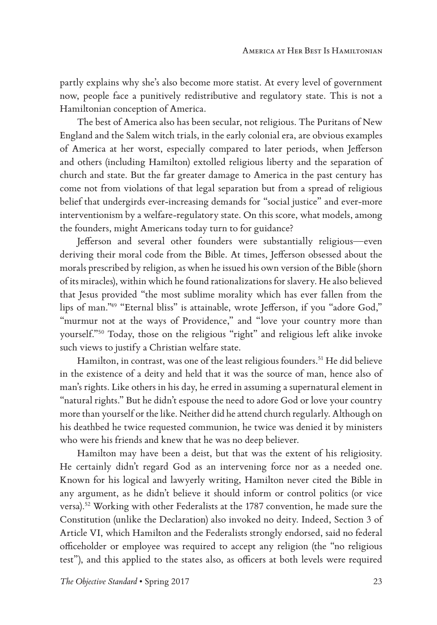partly explains why she's also become more statist. At every level of government now, people face a punitively redistributive and regulatory state. This is not a Hamiltonian conception of America.

The best of America also has been secular, not religious. The Puritans of New England and the Salem witch trials, in the early colonial era, are obvious examples of America at her worst, especially compared to later periods, when Jefferson and others (including Hamilton) extolled religious liberty and the separation of church and state. But the far greater damage to America in the past century has come not from violations of that legal separation but from a spread of religious belief that undergirds ever-increasing demands for "social justice" and ever-more interventionism by a welfare-regulatory state. On this score, what models, among the founders, might Americans today turn to for guidance?

Jefferson and several other founders were substantially religious—even deriving their moral code from the Bible. At times, Jefferson obsessed about the morals prescribed by religion, as when he issued his own version of the Bible (shorn of its miracles), within which he found rationalizations for slavery. He also believed that Jesus provided "the most sublime morality which has ever fallen from the lips of man."49 "Eternal bliss" is attainable, wrote Jefferson, if you "adore God," "murmur not at the ways of Providence," and "love your country more than yourself."50 Today, those on the religious "right" and religious left alike invoke such views to justify a Christian welfare state.

Hamilton, in contrast, was one of the least religious founders.<sup>51</sup> He did believe in the existence of a deity and held that it was the source of man, hence also of man's rights. Like others in his day, he erred in assuming a supernatural element in "natural rights." But he didn't espouse the need to adore God or love your country more than yourself or the like. Neither did he attend church regularly. Although on his deathbed he twice requested communion, he twice was denied it by ministers who were his friends and knew that he was no deep believer.

Hamilton may have been a deist, but that was the extent of his religiosity. He certainly didn't regard God as an intervening force nor as a needed one. Known for his logical and lawyerly writing, Hamilton never cited the Bible in any argument, as he didn't believe it should inform or control politics (or vice versa).52 Working with other Federalists at the 1787 convention, he made sure the Constitution (unlike the Declaration) also invoked no deity. Indeed, Section 3 of Article VI, which Hamilton and the Federalists strongly endorsed, said no federal officeholder or employee was required to accept any religion (the "no religious test"), and this applied to the states also, as officers at both levels were required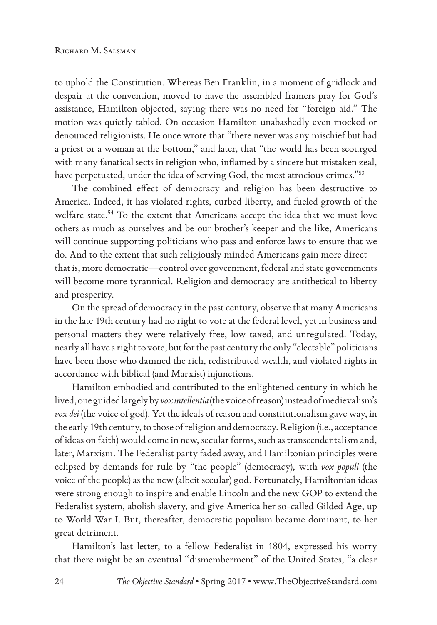to uphold the Constitution. Whereas Ben Franklin, in a moment of gridlock and despair at the convention, moved to have the assembled framers pray for God's assistance, Hamilton objected, saying there was no need for "foreign aid." The motion was quietly tabled. On occasion Hamilton unabashedly even mocked or denounced religionists. He once wrote that "there never was any mischief but had a priest or a woman at the bottom," and later, that "the world has been scourged with many fanatical sects in religion who, inflamed by a sincere but mistaken zeal, have perpetuated, under the idea of serving God, the most atrocious crimes."53

The combined effect of democracy and religion has been destructive to America. Indeed, it has violated rights, curbed liberty, and fueled growth of the welfare state.<sup>54</sup> To the extent that Americans accept the idea that we must love others as much as ourselves and be our brother's keeper and the like, Americans will continue supporting politicians who pass and enforce laws to ensure that we do. And to the extent that such religiously minded Americans gain more direct that is, more democratic—control over government, federal and state governments will become more tyrannical. Religion and democracy are antithetical to liberty and prosperity.

On the spread of democracy in the past century, observe that many Americans in the late 19th century had no right to vote at the federal level, yet in business and personal matters they were relatively free, low taxed, and unregulated. Today, nearly all have a right to vote, but for the past century the only "electable" politicians have been those who damned the rich, redistributed wealth, and violated rights in accordance with biblical (and Marxist) injunctions.

Hamilton embodied and contributed to the enlightened century in which he lived, one guided largely by *vox intellentia* (the voice of reason) instead of medievalism's *vox dei* (the voice of god). Yet the ideals of reason and constitutionalism gave way, in the early 19th century, to those of religion and democracy. Religion (i.e., acceptance of ideas on faith) would come in new, secular forms, such as transcendentalism and, later, Marxism. The Federalist party faded away, and Hamiltonian principles were eclipsed by demands for rule by "the people" (democracy), with *vox populi* (the voice of the people) as the new (albeit secular) god. Fortunately, Hamiltonian ideas were strong enough to inspire and enable Lincoln and the new GOP to extend the Federalist system, abolish slavery, and give America her so-called Gilded Age, up to World War I. But, thereafter, democratic populism became dominant, to her great detriment.

Hamilton's last letter, to a fellow Federalist in 1804, expressed his worry that there might be an eventual "dismemberment" of the United States, "a clear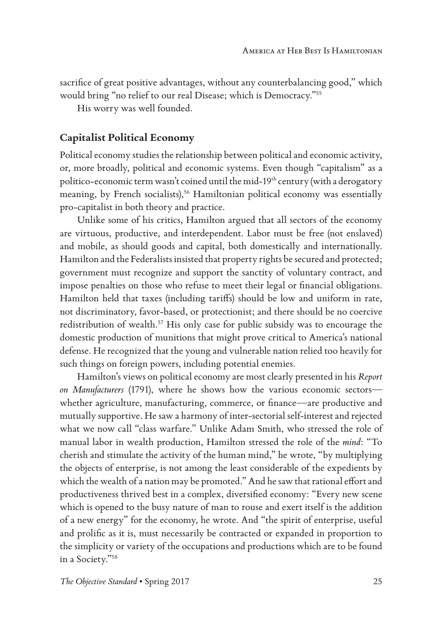sacrifice of great positive advantages, without any counterbalancing good," which would bring "no relief to our real Disease; which is Democracy."55

His worry was well founded.

#### **Capitalist Political Economy**

Political economy studies the relationship between political and economic activity, or, more broadly, political and economic systems. Even though "capitalism" as a politico-economic term wasn't coined until the mid-19<sup>th</sup> century (with a derogatory meaning, by French socialists),<sup>56</sup> Hamiltonian political economy was essentially pro-capitalist in both theory and practice.

Unlike some of his critics, Hamilton argued that all sectors of the economy are virtuous, productive, and interdependent. Labor must be free (not enslaved) and mobile, as should goods and capital, both domestically and internationally. Hamilton and the Federalists insisted that property rights be secured and protected; government must recognize and support the sanctity of voluntary contract, and impose penalties on those who refuse to meet their legal or financial obligations. Hamilton held that taxes (including tariffs) should be low and uniform in rate, not discriminatory, favor-based, or protectionist; and there should be no coercive redistribution of wealth.57 His only case for public subsidy was to encourage the domestic production of munitions that might prove critical to America's national defense. He recognized that the young and vulnerable nation relied too heavily for such things on foreign powers, including potential enemies.

Hamilton's views on political economy are most clearly presented in his *Report on Manufacturers* (1791), where he shows how the various economic sectors whether agriculture, manufacturing, commerce, or finance—are productive and mutually supportive. He saw a harmony of inter-sectorial self-interest and rejected what we now call "class warfare." Unlike Adam Smith, who stressed the role of manual labor in wealth production, Hamilton stressed the role of the *mind*: "To cherish and stimulate the activity of the human mind," he wrote, "by multiplying the objects of enterprise, is not among the least considerable of the expedients by which the wealth of a nation may be promoted." And he saw that rational effort and productiveness thrived best in a complex, diversified economy: "Every new scene which is opened to the busy nature of man to rouse and exert itself is the addition of a new energy" for the economy, he wrote. And "the spirit of enterprise, useful and prolific as it is, must necessarily be contracted or expanded in proportion to the simplicity or variety of the occupations and productions which are to be found in a Society."58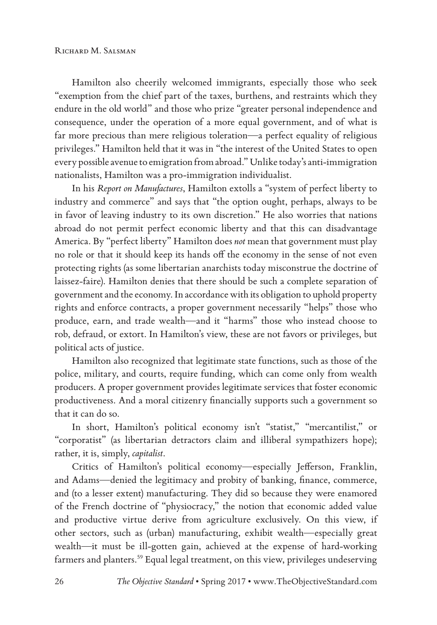Hamilton also cheerily welcomed immigrants, especially those who seek "exemption from the chief part of the taxes, burthens, and restraints which they endure in the old world" and those who prize "greater personal independence and consequence, under the operation of a more equal government, and of what is far more precious than mere religious toleration—a perfect equality of religious privileges." Hamilton held that it was in "the interest of the United States to open every possible avenue to emigration from abroad." Unlike today's anti-immigration nationalists, Hamilton was a pro-immigration individualist.

In his *Report on Manufactures*, Hamilton extolls a "system of perfect liberty to industry and commerce" and says that "the option ought, perhaps, always to be in favor of leaving industry to its own discretion." He also worries that nations abroad do not permit perfect economic liberty and that this can disadvantage America. By "perfect liberty" Hamilton does *not* mean that government must play no role or that it should keep its hands off the economy in the sense of not even protecting rights (as some libertarian anarchists today misconstrue the doctrine of laissez-faire). Hamilton denies that there should be such a complete separation of government and the economy. In accordance with its obligation to uphold property rights and enforce contracts, a proper government necessarily "helps" those who produce, earn, and trade wealth—and it "harms" those who instead choose to rob, defraud, or extort. In Hamilton's view, these are not favors or privileges, but political acts of justice*.*

Hamilton also recognized that legitimate state functions, such as those of the police, military, and courts, require funding, which can come only from wealth producers. A proper government provides legitimate services that foster economic productiveness. And a moral citizenry financially supports such a government so that it can do so.

In short, Hamilton's political economy isn't "statist," "mercantilist," or "corporatist" (as libertarian detractors claim and illiberal sympathizers hope); rather, it is, simply, *capitalist*.

Critics of Hamilton's political economy—especially Jefferson, Franklin, and Adams—denied the legitimacy and probity of banking, finance, commerce, and (to a lesser extent) manufacturing. They did so because they were enamored of the French doctrine of "physiocracy," the notion that economic added value and productive virtue derive from agriculture exclusively. On this view, if other sectors, such as (urban) manufacturing, exhibit wealth—especially great wealth—it must be ill-gotten gain, achieved at the expense of hard-working farmers and planters.<sup>59</sup> Equal legal treatment, on this view, privileges undeserving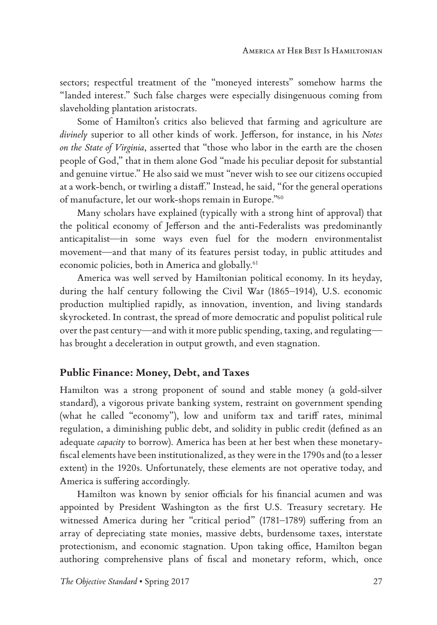sectors; respectful treatment of the "moneyed interests" somehow harms the "landed interest." Such false charges were especially disingenuous coming from slaveholding plantation aristocrats.

Some of Hamilton's critics also believed that farming and agriculture are *divinely* superior to all other kinds of work. Jefferson, for instance, in his *Notes on the State of Virginia*, asserted that "those who labor in the earth are the chosen people of God," that in them alone God "made his peculiar deposit for substantial and genuine virtue." He also said we must "never wish to see our citizens occupied at a work-bench, or twirling a distaff." Instead, he said, "for the general operations of manufacture, let our work-shops remain in Europe."60

Many scholars have explained (typically with a strong hint of approval) that the political economy of Jefferson and the anti-Federalists was predominantly anticapitalist—in some ways even fuel for the modern environmentalist movement—and that many of its features persist today, in public attitudes and economic policies, both in America and globally.<sup>61</sup>

America was well served by Hamiltonian political economy. In its heyday, during the half century following the Civil War (1865–1914), U.S. economic production multiplied rapidly, as innovation, invention, and living standards skyrocketed. In contrast, the spread of more democratic and populist political rule over the past century—and with it more public spending, taxing, and regulating has brought a deceleration in output growth, and even stagnation.

#### **Public Finance: Money, Debt, and Taxes**

Hamilton was a strong proponent of sound and stable money (a gold-silver standard), a vigorous private banking system, restraint on government spending (what he called "economy"), low and uniform tax and tariff rates, minimal regulation, a diminishing public debt, and solidity in public credit (defined as an adequate *capacity* to borrow). America has been at her best when these monetaryfiscal elements have been institutionalized, as they were in the 1790s and (to a lesser extent) in the 1920s. Unfortunately, these elements are not operative today, and America is suffering accordingly.

Hamilton was known by senior officials for his financial acumen and was appointed by President Washington as the first U.S. Treasury secretary. He witnessed America during her "critical period" (1781–1789) suffering from an array of depreciating state monies, massive debts, burdensome taxes, interstate protectionism, and economic stagnation. Upon taking office, Hamilton began authoring comprehensive plans of fiscal and monetary reform, which, once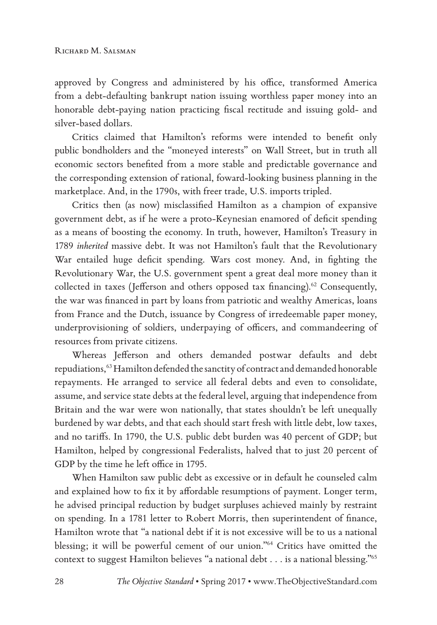approved by Congress and administered by his office, transformed America from a debt-defaulting bankrupt nation issuing worthless paper money into an honorable debt-paying nation practicing fiscal rectitude and issuing gold- and silver-based dollars.

Critics claimed that Hamilton's reforms were intended to benefit only public bondholders and the "moneyed interests" on Wall Street, but in truth all economic sectors benefited from a more stable and predictable governance and the corresponding extension of rational, foward-looking business planning in the marketplace. And, in the 1790s, with freer trade, U.S. imports tripled.

Critics then (as now) misclassified Hamilton as a champion of expansive government debt, as if he were a proto-Keynesian enamored of deficit spending as a means of boosting the economy. In truth, however, Hamilton's Treasury in 1789 *inherited* massive debt. It was not Hamilton's fault that the Revolutionary War entailed huge deficit spending. Wars cost money. And, in fighting the Revolutionary War, the U.S. government spent a great deal more money than it collected in taxes (Jefferson and others opposed tax financing).<sup>62</sup> Consequently, the war was financed in part by loans from patriotic and wealthy Americas, loans from France and the Dutch, issuance by Congress of irredeemable paper money, underprovisioning of soldiers, underpaying of officers, and commandeering of resources from private citizens.

Whereas Jefferson and others demanded postwar defaults and debt repudiations,<sup>63</sup> Hamilton defended the sanctity of contract and demanded honorable repayments. He arranged to service all federal debts and even to consolidate, assume, and service state debts at the federal level, arguing that independence from Britain and the war were won nationally, that states shouldn't be left unequally burdened by war debts, and that each should start fresh with little debt, low taxes, and no tariffs. In 1790, the U.S. public debt burden was 40 percent of GDP; but Hamilton, helped by congressional Federalists, halved that to just 20 percent of GDP by the time he left office in 1795.

When Hamilton saw public debt as excessive or in default he counseled calm and explained how to fix it by affordable resumptions of payment. Longer term, he advised principal reduction by budget surpluses achieved mainly by restraint on spending. In a 1781 letter to Robert Morris, then superintendent of finance, Hamilton wrote that "a national debt if it is not excessive will be to us a national blessing; it will be powerful cement of our union."64 Critics have omitted the context to suggest Hamilton believes "a national debt . . . is a national blessing."65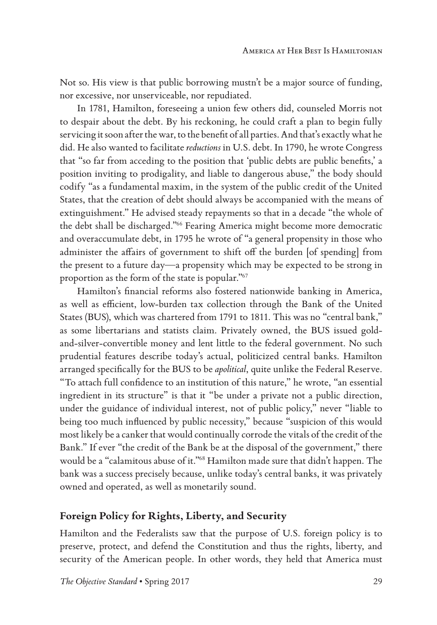Not so. His view is that public borrowing mustn't be a major source of funding, nor excessive, nor unserviceable, nor repudiated.

In 1781, Hamilton, foreseeing a union few others did, counseled Morris not to despair about the debt. By his reckoning, he could craft a plan to begin fully servicing it soon after the war, to the benefit of all parties. And that's exactly what he did. He also wanted to facilitate *reductions* in U.S. debt. In 1790, he wrote Congress that "so far from acceding to the position that 'public debts are public benefits,' a position inviting to prodigality, and liable to dangerous abuse," the body should codify "as a fundamental maxim, in the system of the public credit of the United States, that the creation of debt should always be accompanied with the means of extinguishment." He advised steady repayments so that in a decade "the whole of the debt shall be discharged."66 Fearing America might become more democratic and overaccumulate debt, in 1795 he wrote of "a general propensity in those who administer the affairs of government to shift off the burden [of spending] from the present to a future day—a propensity which may be expected to be strong in proportion as the form of the state is popular."67

Hamilton's financial reforms also fostered nationwide banking in America, as well as efficient, low-burden tax collection through the Bank of the United States (BUS), which was chartered from 1791 to 1811. This was no "central bank," as some libertarians and statists claim. Privately owned, the BUS issued goldand-silver-convertible money and lent little to the federal government. No such prudential features describe today's actual, politicized central banks. Hamilton arranged specifically for the BUS to be *apolitical*, quite unlike the Federal Reserve. "To attach full confidence to an institution of this nature," he wrote, "an essential ingredient in its structure" is that it "be under a private not a public direction, under the guidance of individual interest, not of public policy," never "liable to being too much influenced by public necessity," because "suspicion of this would most likely be a canker that would continually corrode the vitals of the credit of the Bank." If ever "the credit of the Bank be at the disposal of the government," there would be a "calamitous abuse of it."68 Hamilton made sure that didn't happen. The bank was a success precisely because, unlike today's central banks, it was privately owned and operated, as well as monetarily sound.

#### **Foreign Policy for Rights, Liberty, and Security**

Hamilton and the Federalists saw that the purpose of U.S. foreign policy is to preserve, protect, and defend the Constitution and thus the rights, liberty, and security of the American people. In other words, they held that America must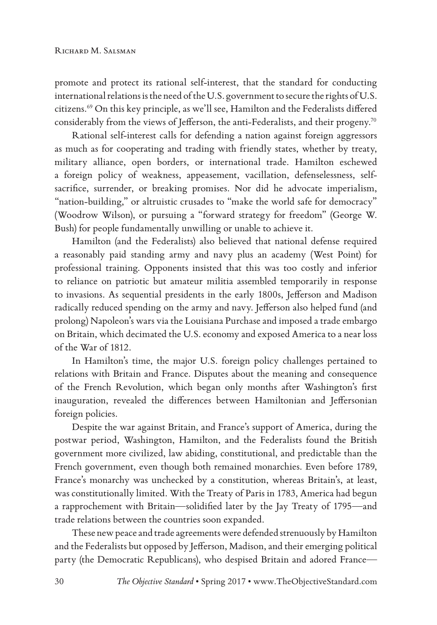promote and protect its rational self-interest, that the standard for conducting international relations is the need of the U.S. government to secure the rights of U.S. citizens.69 On this key principle, as we'll see, Hamilton and the Federalists differed considerably from the views of Jefferson, the anti-Federalists, and their progeny.70

Rational self-interest calls for defending a nation against foreign aggressors as much as for cooperating and trading with friendly states, whether by treaty, military alliance, open borders, or international trade. Hamilton eschewed a foreign policy of weakness, appeasement, vacillation, defenselessness, selfsacrifice, surrender, or breaking promises. Nor did he advocate imperialism, "nation-building," or altruistic crusades to "make the world safe for democracy" (Woodrow Wilson), or pursuing a "forward strategy for freedom" (George W. Bush) for people fundamentally unwilling or unable to achieve it.

Hamilton (and the Federalists) also believed that national defense required a reasonably paid standing army and navy plus an academy (West Point) for professional training. Opponents insisted that this was too costly and inferior to reliance on patriotic but amateur militia assembled temporarily in response to invasions. As sequential presidents in the early 1800s, Jefferson and Madison radically reduced spending on the army and navy. Jefferson also helped fund (and prolong) Napoleon's wars via the Louisiana Purchase and imposed a trade embargo on Britain, which decimated the U.S. economy and exposed America to a near loss of the War of 1812.

In Hamilton's time, the major U.S. foreign policy challenges pertained to relations with Britain and France. Disputes about the meaning and consequence of the French Revolution, which began only months after Washington's first inauguration, revealed the differences between Hamiltonian and Jeffersonian foreign policies.

Despite the war against Britain, and France's support of America, during the postwar period, Washington, Hamilton, and the Federalists found the British government more civilized, law abiding, constitutional, and predictable than the French government, even though both remained monarchies. Even before 1789, France's monarchy was unchecked by a constitution, whereas Britain's, at least, was constitutionally limited. With the Treaty of Paris in 1783, America had begun a rapprochement with Britain—solidified later by the Jay Treaty of 1795—and trade relations between the countries soon expanded.

These new peace and trade agreements were defended strenuously by Hamilton and the Federalists but opposed by Jefferson, Madison, and their emerging political party (the Democratic Republicans), who despised Britain and adored France—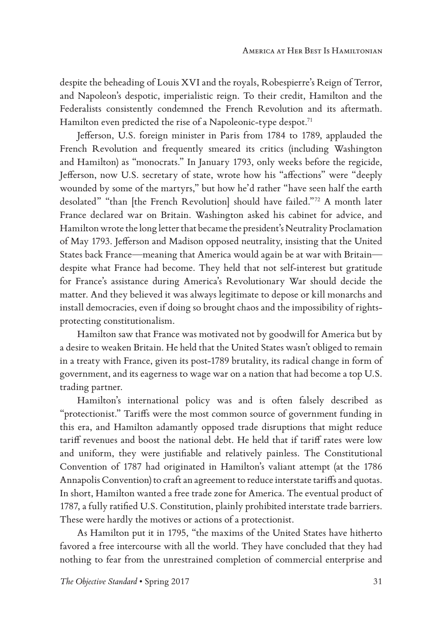despite the beheading of Louis XVI and the royals, Robespierre's Reign of Terror, and Napoleon's despotic, imperialistic reign. To their credit, Hamilton and the Federalists consistently condemned the French Revolution and its aftermath. Hamilton even predicted the rise of a Napoleonic-type despot.<sup>71</sup>

Jefferson, U.S. foreign minister in Paris from 1784 to 1789, applauded the French Revolution and frequently smeared its critics (including Washington and Hamilton) as "monocrats." In January 1793, only weeks before the regicide, Jefferson, now U.S. secretary of state, wrote how his "affections" were "deeply wounded by some of the martyrs," but how he'd rather "have seen half the earth desolated" "than [the French Revolution] should have failed."72 A month later France declared war on Britain. Washington asked his cabinet for advice, and Hamilton wrote the long letter that became the president's Neutrality Proclamation of May 1793. Jefferson and Madison opposed neutrality, insisting that the United States back France—meaning that America would again be at war with Britain despite what France had become. They held that not self-interest but gratitude for France's assistance during America's Revolutionary War should decide the matter. And they believed it was always legitimate to depose or kill monarchs and install democracies, even if doing so brought chaos and the impossibility of rightsprotecting constitutionalism.

Hamilton saw that France was motivated not by goodwill for America but by a desire to weaken Britain. He held that the United States wasn't obliged to remain in a treaty with France, given its post-1789 brutality, its radical change in form of government, and its eagerness to wage war on a nation that had become a top U.S. trading partner.

Hamilton's international policy was and is often falsely described as "protectionist." Tariffs were the most common source of government funding in this era, and Hamilton adamantly opposed trade disruptions that might reduce tariff revenues and boost the national debt. He held that if tariff rates were low and uniform, they were justifiable and relatively painless. The Constitutional Convention of 1787 had originated in Hamilton's valiant attempt (at the 1786 Annapolis Convention) to craft an agreement to reduce interstate tariffs and quotas. In short, Hamilton wanted a free trade zone for America. The eventual product of 1787, a fully ratified U.S. Constitution, plainly prohibited interstate trade barriers. These were hardly the motives or actions of a protectionist.

As Hamilton put it in 1795, "the maxims of the United States have hitherto favored a free intercourse with all the world. They have concluded that they had nothing to fear from the unrestrained completion of commercial enterprise and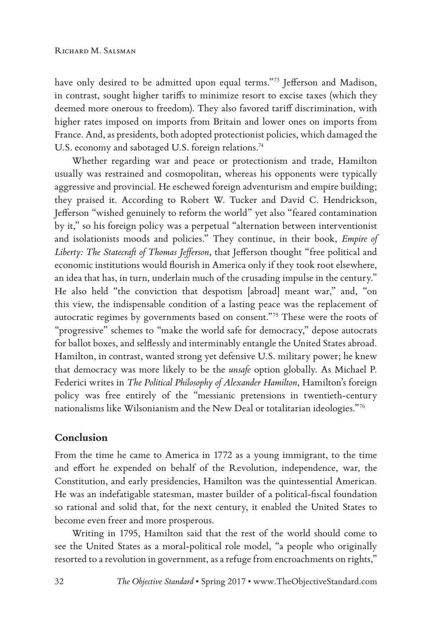have only desired to be admitted upon equal terms."<sup>73</sup> Jefferson and Madison, in contrast, sought higher tariffs to minimize resort to excise taxes (which they deemed more onerous to freedom). They also favored tariff discrimination, with higher rates imposed on imports from Britain and lower ones on imports from France. And, as presidents, both adopted protectionist policies, which damaged the U.S. economy and sabotaged U.S. foreign relations.<sup>74</sup>

Whether regarding war and peace or protectionism and trade, Hamilton usually was restrained and cosmopolitan, whereas his opponents were typically aggressive and provincial. He eschewed foreign adventurism and empire building; they praised it. According to Robert W. Tucker and David C. Hendrickson, Jefferson "wished genuinely to reform the world" yet also "feared contamination by it," so his foreign policy was a perpetual "alternation between interventionist and isolationists moods and policies." They continue, in their book, *Empire of Liberty: The Statecraft of Thomas Jefferson*, that Jefferson thought "free political and economic institutions would flourish in America only if they took root elsewhere, an idea that has, in turn, underlain much of the crusading impulse in the century." He also held "the conviction that despotism [abroad] meant war," and, "on this view, the indispensable condition of a lasting peace was the replacement of autocratic regimes by governments based on consent."75 These were the roots of "progressive" schemes to "make the world safe for democracy," depose autocrats for ballot boxes, and selflessly and interminably entangle the United States abroad. Hamilton, in contrast, wanted strong yet defensive U.S. military power; he knew that democracy was more likely to be the *unsafe* option globally. As Michael P. Federici writes in *The Political Philosophy of Alexander Hamilton*, Hamilton's foreign policy was free entirely of the "messianic pretensions in twentieth-century nationalisms like Wilsonianism and the New Deal or totalitarian ideologies."76

#### **Conclusion**

From the time he came to America in 1772 as a young immigrant, to the time and effort he expended on behalf of the Revolution, independence, war, the Constitution, and early presidencies, Hamilton was the quintessential American. He was an indefatigable statesman, master builder of a political-fiscal foundation so rational and solid that, for the next century, it enabled the United States to become even freer and more prosperous.

Writing in 1795, Hamilton said that the rest of the world should come to see the United States as a moral-political role model, "a people who originally resorted to a revolution in government, as a refuge from encroachments on rights,"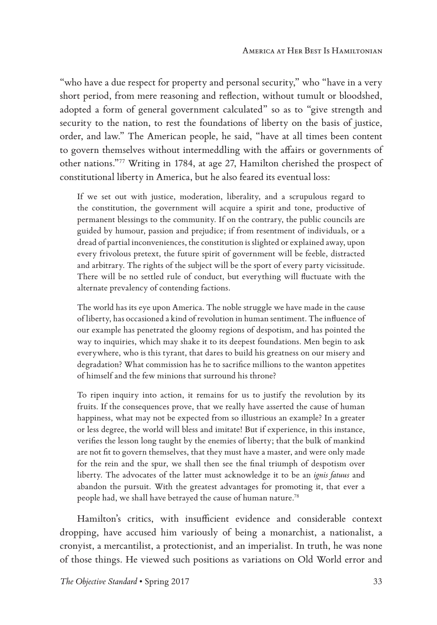"who have a due respect for property and personal security," who "have in a very short period, from mere reasoning and reflection, without tumult or bloodshed, adopted a form of general government calculated" so as to "give strength and security to the nation, to rest the foundations of liberty on the basis of justice, order, and law." The American people, he said, "have at all times been content to govern themselves without intermeddling with the affairs or governments of other nations."77 Writing in 1784, at age 27, Hamilton cherished the prospect of constitutional liberty in America, but he also feared its eventual loss:

If we set out with justice, moderation, liberality, and a scrupulous regard to the constitution, the government will acquire a spirit and tone, productive of permanent blessings to the community. If on the contrary, the public councils are guided by humour, passion and prejudice; if from resentment of individuals, or a dread of partial inconveniences, the constitution is slighted or explained away, upon every frivolous pretext, the future spirit of government will be feeble, distracted and arbitrary. The rights of the subject will be the sport of every party vicissitude. There will be no settled rule of conduct, but everything will fluctuate with the alternate prevalency of contending factions.

The world has its eye upon America. The noble struggle we have made in the cause of liberty, has occasioned a kind of revolution in human sentiment. The influence of our example has penetrated the gloomy regions of despotism, and has pointed the way to inquiries, which may shake it to its deepest foundations. Men begin to ask everywhere, who is this tyrant, that dares to build his greatness on our misery and degradation? What commission has he to sacrifice millions to the wanton appetites of himself and the few minions that surround his throne?

To ripen inquiry into action, it remains for us to justify the revolution by its fruits. If the consequences prove, that we really have asserted the cause of human happiness, what may not be expected from so illustrious an example? In a greater or less degree, the world will bless and imitate! But if experience, in this instance, verifies the lesson long taught by the enemies of liberty; that the bulk of mankind are not fit to govern themselves, that they must have a master, and were only made for the rein and the spur, we shall then see the final triumph of despotism over liberty. The advocates of the latter must acknowledge it to be an *ignis fatuus* and abandon the pursuit. With the greatest advantages for promoting it, that ever a people had, we shall have betrayed the cause of human nature.78

Hamilton's critics, with insufficient evidence and considerable context dropping, have accused him variously of being a monarchist, a nationalist, a cronyist, a mercantilist, a protectionist, and an imperialist. In truth, he was none of those things. He viewed such positions as variations on Old World error and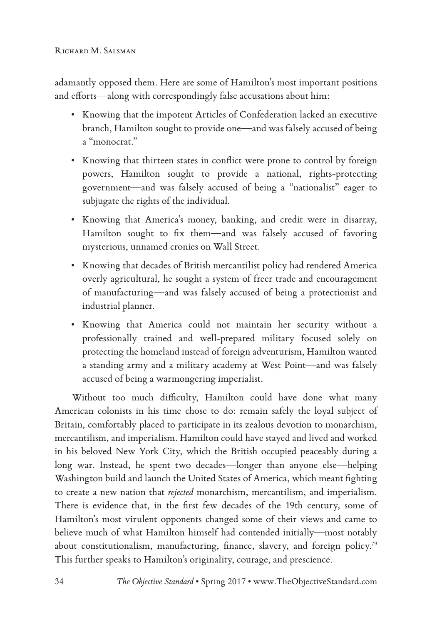adamantly opposed them. Here are some of Hamilton's most important positions and efforts—along with correspondingly false accusations about him:

- Knowing that the impotent Articles of Confederation lacked an executive branch, Hamilton sought to provide one—and was falsely accused of being a "monocrat."
- Knowing that thirteen states in conflict were prone to control by foreign powers, Hamilton sought to provide a national, rights-protecting government—and was falsely accused of being a "nationalist" eager to subjugate the rights of the individual.
- Knowing that America's money, banking, and credit were in disarray, Hamilton sought to fix them—and was falsely accused of favoring mysterious, unnamed cronies on Wall Street.
- Knowing that decades of British mercantilist policy had rendered America overly agricultural, he sought a system of freer trade and encouragement of manufacturing—and was falsely accused of being a protectionist and industrial planner.
- Knowing that America could not maintain her security without a professionally trained and well-prepared military focused solely on protecting the homeland instead of foreign adventurism, Hamilton wanted a standing army and a military academy at West Point—and was falsely accused of being a warmongering imperialist.

Without too much difficulty, Hamilton could have done what many American colonists in his time chose to do: remain safely the loyal subject of Britain, comfortably placed to participate in its zealous devotion to monarchism, mercantilism, and imperialism. Hamilton could have stayed and lived and worked in his beloved New York City, which the British occupied peaceably during a long war. Instead, he spent two decades—longer than anyone else—helping Washington build and launch the United States of America, which meant fighting to create a new nation that *rejected* monarchism, mercantilism, and imperialism. There is evidence that, in the first few decades of the 19th century, some of Hamilton's most virulent opponents changed some of their views and came to believe much of what Hamilton himself had contended initially—most notably about constitutionalism, manufacturing, finance, slavery, and foreign policy.79 This further speaks to Hamilton's originality, courage, and prescience.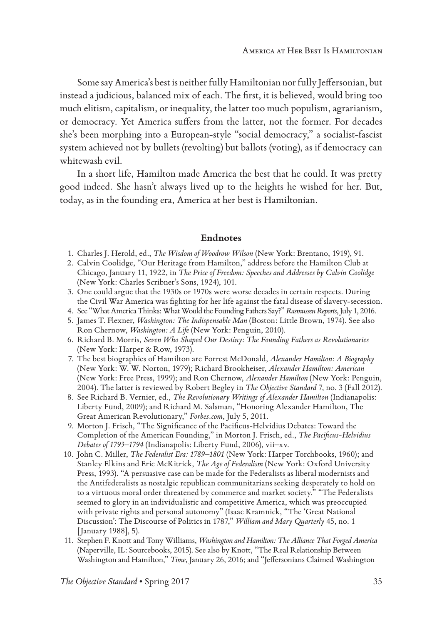Some say America's best is neither fully Hamiltonian nor fully Jeffersonian, but instead a judicious, balanced mix of each. The first, it is believed, would bring too much elitism, capitalism, or inequality, the latter too much populism, agrarianism, or democracy. Yet America suffers from the latter, not the former. For decades she's been morphing into a European-style "social democracy," a socialist-fascist system achieved not by bullets (revolting) but ballots (voting), as if democracy can whitewash evil.

In a short life, Hamilton made America the best that he could. It was pretty good indeed. She hasn't always lived up to the heights he wished for her. But, today, as in the founding era, America at her best is Hamiltonian.

#### **Endnotes**

- 1. Charles J. Herold, ed., *The Wisdom of Woodrow Wilson* (New York: Brentano, 1919), 91.
- 2. Calvin Coolidge, "Our Heritage from Hamilton," address before the Hamilton Club at Chicago, January 11, 1922, in *The Price of Freedom: Speeches and Addresses by Calvin Coolidge* (New York: Charles Scribner's Sons, 1924), 101.
- 3. One could argue that the 1930s or 1970s were worse decades in certain respects. During the Civil War America was fighting for her life against the fatal disease of slavery-secession.
- 4. See "What America Thinks: What Would the Founding Fathers Say?" *Rasmussen Reports*, July 1, 2016.
- 5. James T. Flexner, *Washington: The Indispensable Man* (Boston: Little Brown, 1974). See also Ron Chernow, *Washington: A Life* (New York: Penguin, 2010).
- 6. Richard B. Morris, *Seven Who Shaped Our Destiny: The Founding Fathers as Revolutionaries* (New York: Harper & Row, 1973).
- 7. The best biographies of Hamilton are Forrest McDonald, *Alexander Hamilton: A Biography*  (New York: W. W. Norton, 1979); Richard Brookheiser, *Alexander Hamilton: American* (New York: Free Press, 1999); and Ron Chernow, *Alexander Hamilton* (New York: Penguin, 2004). The latter is reviewed by Robert Begley in *The Objective Standard* 7, no. 3 (Fall 2012).
- 8. See Richard B. Vernier, ed., *The Revolutionary Writings of Alexander Hamilton* (Indianapolis: Liberty Fund, 2009); and Richard M. Salsman, "Honoring Alexander Hamilton, The Great American Revolutionary," *Forbes.com*, July 5, 2011.
- 9. Morton J. Frisch, "The Significance of the Pacificus-Helvidius Debates: Toward the Completion of the American Founding," in Morton J. Frisch, ed., *The Pacificus-Helvidius Debates of 1793–1794* (Indianapolis: Liberty Fund, 2006), vii–xv.
- 10. John C. Miller, *The Federalist Era: 1789–1801* (New York: Harper Torchbooks, 1960); and Stanley Elkins and Eric McKitrick, *The Age of Federalism* (New York: Oxford University Press, 1993). "A persuasive case can be made for the Federalists as liberal modernists and the Antifederalists as nostalgic republican communitarians seeking desperately to hold on to a virtuous moral order threatened by commerce and market society." "The Federalists seemed to glory in an individualistic and competitive America, which was preoccupied with private rights and personal autonomy" (Isaac Kramnick, "The 'Great National Discussion': The Discourse of Politics in 1787," *William and Mary Quarterly* 45, no. 1 [January 1988], 5).
- 11. Stephen F. Knott and Tony Williams, *Washington and Hamilton: The Alliance That Forged America* (Naperville, IL: Sourcebooks, 2015). See also by Knott, "The Real Relationship Between Washington and Hamilton," *Time*, January 26, 2016; and "Jeffersonians Claimed Washington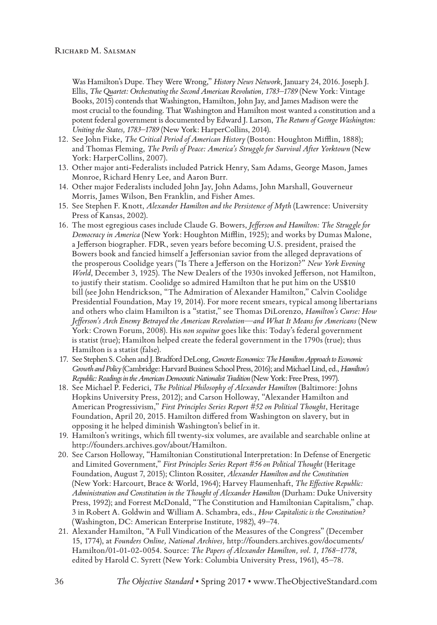Was Hamilton's Dupe. They Were Wrong," *History News Network*, January 24, 2016. Joseph J. Ellis, *The Quartet: Orchestrating the Second American Revolution, 1783–1789* (New York: Vintage Books, 2015) contends that Washington, Hamilton, John Jay, and James Madison were the most crucial to the founding. That Washington and Hamilton most wanted a constitution and a potent federal government is documented by Edward J. Larson, *The Return of George Washington: Uniting the States, 1783–1789* (New York: HarperCollins, 2014).

- 12. See John Fiske, *The Critical Period of American History* (Boston: Houghton Mifflin, 1888); and Thomas Fleming, *The Perils of Peace: America's Struggle for Survival After Yorktown* (New York: HarperCollins, 2007).
- 13. Other major anti-Federalists included Patrick Henry, Sam Adams, George Mason, James Monroe, Richard Henry Lee, and Aaron Burr.
- 14. Other major Federalists included John Jay, John Adams, John Marshall, Gouverneur Morris, James Wilson, Ben Franklin, and Fisher Ames.
- 15. See Stephen F. Knott, *Alexander Hamilton and the Persistence of Myth* (Lawrence: University Press of Kansas, 2002).
- 16. The most egregious cases include Claude G. Bowers, *Jefferson and Hamilton: The Struggle for Democracy in America* (New York: Houghton Mifflin, 1925); and works by Dumas Malone, a Jefferson biographer. FDR, seven years before becoming U.S. president, praised the Bowers book and fancied himself a Jeffersonian savior from the alleged depravations of the prosperous Coolidge years ("Is There a Jefferson on the Horizon?" *New York Evening World*, December 3, 1925). The New Dealers of the 1930s invoked Jefferson, not Hamilton, to justify their statism. Coolidge so admired Hamilton that he put him on the US\$10 bill (see John Hendrickson, "The Admiration of Alexander Hamilton," Calvin Coolidge Presidential Foundation, May 19, 2014). For more recent smears, typical among libertarians and others who claim Hamilton is a "statist," see Thomas DiLorenzo, *Hamilton's Curse: How Jefferson's Arch Enemy Betrayed the American Revolution—and What It Means for Americans* (New York: Crown Forum, 2008). His *non sequitur* goes like this: Today's federal government is statist (true); Hamilton helped create the federal government in the 1790s (true); thus Hamilton is a statist (false).
- 17. See Stephen S. Cohen and J. Bradford DeLong, *Concrete Economics: The Hamilton Approach to Economic Growth and Policy* (Cambridge: Harvard Business School Press, 2016); and Michael Lind, ed., *Hamilton's Republic: Readings in the American Democratic Nationalist Tradition* (New York: Free Press, 1997).
- 18. See Michael P. Federici, *The Political Philosophy of Alexander Hamilton* (Baltimore: Johns Hopkins University Press, 2012); and Carson Holloway, "Alexander Hamilton and American Progressivism," *First Principles Series Report #52 on Political Thought*, Heritage Foundation, April 20, 2015. Hamilton differed from Washington on slavery, but in opposing it he helped diminish Washington's belief in it.
- 19. Hamilton's writings, which fill twenty-six volumes, are available and searchable online at http://founders.archives.gov/about/Hamilton.
- 20. See Carson Holloway, "Hamiltonian Constitutional Interpretation: In Defense of Energetic and Limited Government," *First Principles Series Report #56 on Political Thought* (Heritage Foundation, August 7, 2015); Clinton Rossiter, *Alexander Hamilton and the Constitution* (New York: Harcourt, Brace & World, 1964); Harvey Flaumenhaft, *The Effective Republic: Administration and Constitution in the Thought of Alexander Hamilton* (Durham: Duke University Press, 1992); and Forrest McDonald, "The Constitution and Hamiltonian Capitalism," chap. 3 in Robert A. Goldwin and William A. Schambra, eds., *How Capitalistic is the Constitution?*  (Washington, DC: American Enterprise Institute, 1982), 49–74.
- 21. Alexander Hamilton, "A Full Vindication of the Measures of the Congress" (December 15, 1774), at *Founders Online, National Archives,* http://founders.archives.gov/documents/ Hamilton/01-01-02-0054. Source: *The Papers of Alexander Hamilton, vol. 1, 1768–1778*, edited by Harold C. Syrett (New York: Columbia University Press, 1961), 45–78.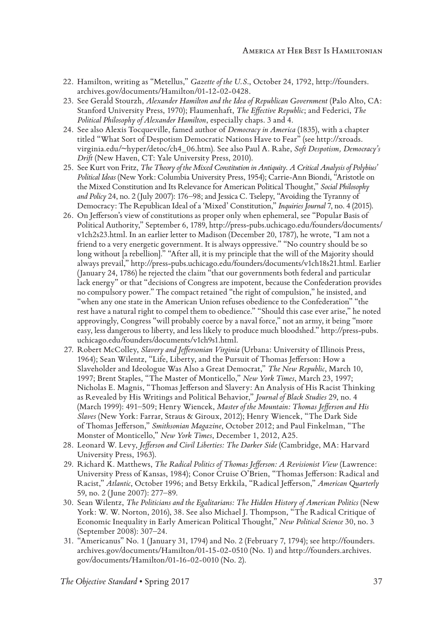- 22. Hamilton, writing as "Metellus," *Gazette of the U.S*., October 24, 1792, http://founders. archives.gov/documents/Hamilton/01-12-02-0428.
- 23. See Gerald Stourzh, *Alexander Hamilton and the Idea of Republican Government* (Palo Alto, CA: Stanford University Press, 1970); Flaumenhaft, *The Effective Republic*; and Federici, *The Political Philosophy of Alexander Hamilton*, especially chaps. 3 and 4.
- 24. See also Alexis Tocqueville, famed author of *Democracy in America* (1835), with a chapter titled "What Sort of Despotism Democratic Nations Have to Fear" (see http://xroads. virginia.edu/~hyper/detoc/ch4\_06.htm). See also Paul A. Rahe, *Soft Despotism, Democracy's Drift* (New Haven, CT: Yale University Press, 2010).
- 25. See Kurt von Fritz, *The Theory of the Mixed Constitution in Antiquity. A Critical Analysis of Polybius' Political Ideas* (New York: Columbia University Press, 1954); Carrie-Ann Biondi, "Aristotle on the Mixed Constitution and Its Relevance for American Political Thought," *Social Philosophy and Policy* 24, no. 2 (July 2007): 176–98; and Jessica C. Tselepy, "Avoiding the Tyranny of Democracy: The Republican Ideal of a 'Mixed' Constitution," *Inquiries Journal* 7, no. 4 (2015).
- 26. On Jefferson's view of constitutions as proper only when ephemeral, see "Popular Basis of Political Authority," September 6, 1789, http://press-pubs.uchicago.edu/founders/documents/ v1ch2s23.html. In an earlier letter to Madison (December 20, 1787), he wrote, "I am not a friend to a very energetic government. It is always oppressive." "No country should be so long without [a rebellion]." "After all, it is my principle that the will of the Majority should always prevail," http://press-pubs.uchicago.edu/founders/documents/v1ch18s21.html. Earlier (January 24, 1786) he rejected the claim "that our governments both federal and particular lack energy" or that "decisions of Congress are impotent, because the Confederation provides no compulsory power." The compact retained "the right of compulsion," he insisted, and "when any one state in the American Union refuses obedience to the Confederation" "the rest have a natural right to compel them to obedience." "Should this case ever arise," he noted approvingly, Congress "will probably coerce by a naval force," not an army, it being "more easy, less dangerous to liberty, and less likely to produce much bloodshed." http://press-pubs. uchicago.edu/founders/documents/v1ch9s1.html.
- 27. Robert McColley, *Slavery and Jeffersonian Virginia* (Urbana: University of Illinois Press, 1964); Sean Wilentz, "Life, Liberty, and the Pursuit of Thomas Jefferson: How a Slaveholder and Ideologue Was Also a Great Democrat," *The New Republic*, March 10, 1997; Brent Staples, "The Master of Monticello," *New York Times*, March 23, 1997; Nicholas E. Magnis, "Thomas Jefferson and Slavery: An Analysis of His Racist Thinking as Revealed by His Writings and Political Behavior," *Journal of Black Studies* 29, no. 4 (March 1999): 491–509; Henry Wiencek, *Master of the Mountain: Thomas Jefferson and His Slaves* (New York: Farrar, Straus & Giroux, 2012); Henry Wiencek, "The Dark Side of Thomas Jefferson," *Smithsonian Magazine*, October 2012; and Paul Finkelman, "The Monster of Monticello," *New York Times*, December 1, 2012, A25.
- 28. Leonard W. Levy, *Jefferson and Civil Liberties: The Darker Side* (Cambridge, MA: Harvard University Press, 1963).
- 29. Richard K. Matthews, *The Radical Politics of Thomas Jefferson: A Revisionist View* (Lawrence: University Press of Kansas, 1984); Conor Cruise O'Brien, "Thomas Jefferson: Radical and Racist," *Atlantic*, October 1996; and Betsy Erkkila, "Radical Jefferson," *American Quarterly* 59, no. 2 (June 2007): 277–89.
- 30. Sean Wilentz, *The Politicians and the Egalitarians: The Hidden History of American Politics* (New York: W. W. Norton, 2016), 38. See also Michael J. Thompson, "The Radical Critique of Economic Inequality in Early American Political Thought," *New Political Science* 30, no. 3 (September 2008): 307–24.
- 31. "Americanus" No. 1 (January 31, 1794) and No. 2 (February 7, 1794); see http://founders. archives.gov/documents/Hamilton/01-15-02-0510 (No. 1) and http://founders.archives. gov/documents/Hamilton/01-16-02-0010 (No. 2).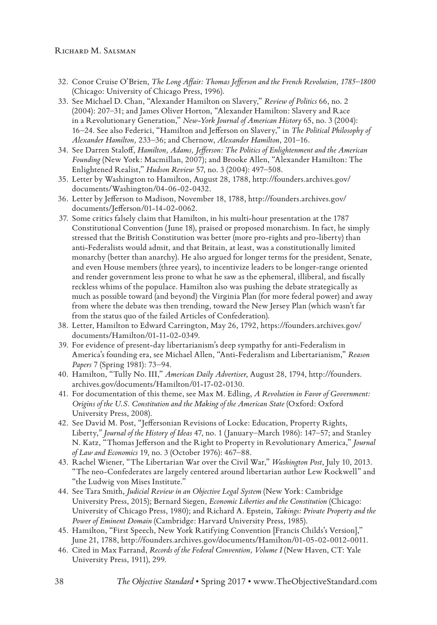#### RICHARD M. SALSMAN

- 32. Conor Cruise O'Brien, *The Long Affair: Thomas Jefferson and the French Revolution, 1785–1800* (Chicago: University of Chicago Press, 1996).
- 33. See Michael D. Chan, "Alexander Hamilton on Slavery," *Review of Politics* 66, no. 2 (2004): 207–31; and James Oliver Horton, "Alexander Hamilton: Slavery and Race in a Revolutionary Generation," *New-York Journal of American History* 65, no. 3 (2004): 16–24. See also Federici, "Hamilton and Jefferson on Slavery," in *The Political Philosophy of Alexander Hamilton,* 233–36; and Chernow, *Alexander Hamilton*, 201–16.
- 34. See Darren Staloff, *Hamilton, Adams, Jefferson: The Politics of Enlightenment and the American Founding* (New York: Macmillan, 2007); and Brooke Allen, "Alexander Hamilton: The Enlightened Realist," *Hudson Review* 57, no. 3 (2004): 497–508.
- 35. Letter by Washington to Hamilton, August 28, 1788, http://founders.archives.gov/ documents/Washington/04-06-02-0432.
- 36. Letter by Jefferson to Madison, November 18, 1788, http://founders.archives.gov/ documents/Jefferson/01-14-02-0062.
- 37. Some critics falsely claim that Hamilton, in his multi-hour presentation at the 1787 Constitutional Convention (June 18), praised or proposed monarchism. In fact, he simply stressed that the British Constitution was better (more pro-rights and pro-liberty) than anti-Federalists would admit, and that Britain, at least, was a constitutionally limited monarchy (better than anarchy). He also argued for longer terms for the president, Senate, and even House members (three years), to incentivize leaders to be longer-range oriented and render government less prone to what he saw as the ephemeral, illiberal, and fiscally reckless whims of the populace. Hamilton also was pushing the debate strategically as much as possible toward (and beyond) the Virginia Plan (for more federal power) and away from where the debate was then trending, toward the New Jersey Plan (which wasn't far from the status quo of the failed Articles of Confederation).
- 38. Letter, Hamilton to Edward Carrington, May 26, 1792, https://founders.archives.gov/ documents/Hamilton/01-11-02-0349.
- 39. For evidence of present-day libertarianism's deep sympathy for anti-Federalism in America's founding era, see Michael Allen, "Anti-Federalism and Libertarianism," *Reason Papers* 7 (Spring 1981): 73–94.
- 40. Hamilton, "Tully No. III," *American Daily Advertiser*, August 28, 1794, http://founders. archives.gov/documents/Hamilton/01-17-02-0130.
- 41. For documentation of this theme, see Max M. Edling, *A Revolution in Favor of Government: Origins of the U.S. Constitution and the Making of the American State* (Oxford: Oxford University Press, 2008).
- 42. See David M. Post, "Jeffersonian Revisions of Locke: Education, Property Rights, Liberty,*" Journal of the History of Ideas* 47, no. 1 (January–March 1986): 147–57; and Stanley N. Katz, "Thomas Jefferson and the Right to Property in Revolutionary America," *Journal of Law and Economics* 19, no. 3 (October 1976): 467–88.
- 43. Rachel Wiener, "The Libertarian War over the Civil War," *Washington Post*, July 10, 2013. "The neo-Confederates are largely centered around libertarian author Lew Rockwell" and "the Ludwig von Mises Institute."
- 44. See Tara Smith, *Judicial Review in an Objective Legal System* (New York: Cambridge University Press, 2015); Bernard Siegen, *Economic Liberties and the Constitution* (Chicago: University of Chicago Press, 1980); and Richard A. Epstein, *Takings: Private Property and the Power of Eminent Domain* (Cambridge: Harvard University Press, 1985).
- 45. Hamilton, "First Speech, New York Ratifying Convention [Francis Childs's Version]," June 21, 1788, http://founders.archives.gov/documents/Hamilton/01-05-02-0012-0011.
- 46. Cited in Max Farrand, *Records of the Federal Convention, Volume I* (New Haven, CT: Yale University Press, 1911), 299.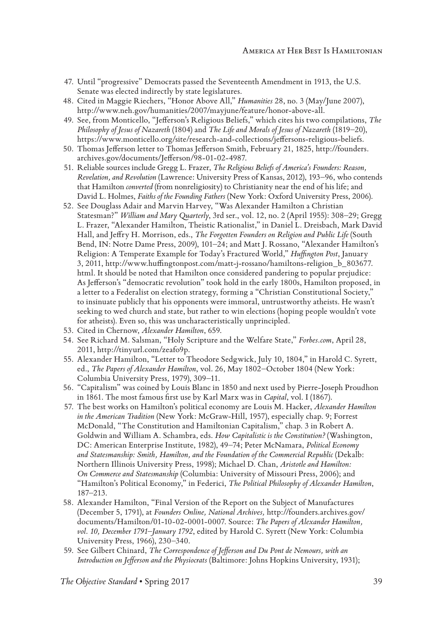- 47. Until "progressive" Democrats passed the Seventeenth Amendment in 1913, the U.S. Senate was elected indirectly by state legislatures.
- 48. Cited in Maggie Riechers, "Honor Above All," *Humanities* 28, no. 3 (May/June 2007), http://www.neh.gov/humanities/2007/mayjune/feature/honor-above-all.
- 49. See, from Monticello, "Jefferson's Religious Beliefs," which cites his two compilations, *The Philosophy of Jesus of Nazareth* (1804) and *The Life and Morals of Jesus of Nazareth* (1819–20), https://www.monticello.org/site/research-and-collections/jeffersons-religious-beliefs.
- 50. Thomas Jefferson letter to Thomas Jefferson Smith, February 21, 1825, http://founders. archives.gov/documents/Jefferson/98-01-02-4987.
- 51. Reliable sources include Gregg L. Frazer, *The Religious Beliefs of America's Founders: Reason, Revelation, and Revolution* (Lawrence: University Press of Kansas, 2012), 193–96, who contends that Hamilton *converted* (from nonreligiosity) to Christianity near the end of his life; and David L. Holmes, *Faiths of the Founding Fathers* (New York: Oxford University Press, 2006).
- 52. See Douglass Adair and Marvin Harvey, "Was Alexander Hamilton a Christian Statesman?" *William and Mary Quarterly*, 3rd ser., vol. 12, no. 2 (April 1955): 308–29; Gregg L. Frazer, "Alexander Hamilton, Theistic Rationalist," in Daniel L. Dreisbach, Mark David Hall, and Jeffry H. Morrison, eds., *The Forgotten Founders on Religion and Public Life* (South Bend, IN: Notre Dame Press, 2009), 101–24; and Matt J. Rossano, "Alexander Hamilton's Religion: A Temperate Example for Today's Fractured World," *Huffington Post*, January 3, 2011, http://www.huffingtonpost.com/matt-j-rossano/hamiltons-religion\_b\_803677. html. It should be noted that Hamilton once considered pandering to popular prejudice: As Jefferson's "democratic revolution" took hold in the early 1800s, Hamilton proposed, in a letter to a Federalist on election strategy, forming a "Christian Constitutional Society," to insinuate publicly that his opponents were immoral, untrustworthy atheists. He wasn't seeking to wed church and state, but rather to win elections (hoping people wouldn't vote for atheists). Even so, this was uncharacteristically unprincipled.
- 53. Cited in Chernow, *Alexander Hamilton*, 659.
- 54. See Richard M. Salsman, "Holy Scripture and the Welfare State," *Forbes.com*, April 28, 2011, http://tinyurl.com/zeafo9p.
- 55. Alexander Hamilton, "Letter to Theodore Sedgwick, July 10, 1804," in Harold C. Syrett, ed., *The Papers of Alexander Hamilton*, vol. 26, May 1802–October 1804 (New York: Columbia University Press, 1979), 309–11.
- 56. "Capitalism" was coined by Louis Blanc in 1850 and next used by Pierre-Joseph Proudhon in 1861. The most famous first use by Karl Marx was in *Capital*, vol. I (1867).
- 57. The best works on Hamilton's political economy are Louis M. Hacker, *Alexander Hamilton in the American Tradition* (New York: McGraw-Hill, 1957), especially chap. 9; Forrest McDonald, "The Constitution and Hamiltonian Capitalism," chap. 3 in Robert A. Goldwin and William A. Schambra, eds. *How Capitalistic is the Constitution?* (Washington, DC: American Enterprise Institute, 1982), 49–74; Peter McNamara, *Political Economy and Statesmanship: Smith, Hamilton, and the Foundation of the Commercial Republic* (Dekalb: Northern Illinois University Press, 1998); Michael D. Chan, *Aristotle and Hamilton: On Commerce and Statesmanship* (Columbia: University of Missouri Press, 2006); and "Hamilton's Political Economy," in Federici, *The Political Philosophy of Alexander Hamilton*, 187–213.
- 58. Alexander Hamilton, "Final Version of the Report on the Subject of Manufactures (December 5, 1791), at *Founders Online, National Archives,* http://founders.archives.gov/ documents/Hamilton/01-10-02-0001-0007. Source: *The Papers of Alexander Hamilton, vol. 10, December 1791–January 1792*, edited by Harold C. Syrett (New York: Columbia University Press, 1966), 230–340.
- 59. See Gilbert Chinard, *The Correspondence of Jefferson and Du Pont de Nemours, with an Introduction on Jefferson and the Physiocrats* (Baltimore: Johns Hopkins University, 1931);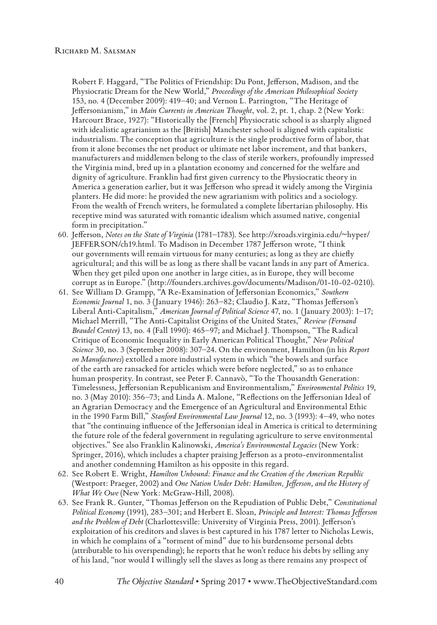Robert F. Haggard, "The Politics of Friendship: Du Pont, Jefferson, Madison, and the Physiocratic Dream for the New World," *Proceedings of the American Philosophical Society* 153, no. 4 (December 2009): 419–40; and Vernon L. Parrington, "The Heritage of Jeffersonianism," in *Main Currents in American Thought*, vol. 2, pt. 1, chap. 2 (New York: Harcourt Brace, 1927): "Historically the [French] Physiocratic school is as sharply aligned with idealistic agrarianism as the [British] Manchester school is aligned with capitalistic industrialism. The conception that agriculture is the single productive form of labor, that from it alone becomes the net product or ultimate net labor increment, and that bankers, manufacturers and middlemen belong to the class of sterile workers, profoundly impressed the Virginia mind, bred up in a plantation economy and concerned for the welfare and dignity of agriculture. Franklin had first given currency to the Physiocratic theory in America a generation earlier, but it was Jefferson who spread it widely among the Virginia planters. He did more: he provided the new agrarianism with politics and a sociology. From the wealth of French writers, he formulated a complete libertarian philosophy. His receptive mind was saturated with romantic idealism which assumed native, congenial form in precipitation."

- 60. Jefferson, *Notes on the State of Virginia* (1781–1783). See http://xroads.virginia.edu/~hyper/ JEFFERSON/ch19.html. To Madison in December 1787 Jefferson wrote, "I think our governments will remain virtuous for many centuries; as long as they are chiefly agricultural; and this will be as long as there shall be vacant lands in any part of America. When they get piled upon one another in large cities, as in Europe, they will become corrupt as in Europe." (http://founders.archives.gov/documents/Madison/01-10-02-0210).
- 61. See William D. Grampp, "A Re-Examination of Jeffersonian Economics," *Southern Economic Journal* 1, no. 3 (January 1946): 263–82; Claudio J. Katz, "Thomas Jefferson's Liberal Anti-Capitalism," *American Journal of Political Science* 47, no. 1 (January 2003): 1–17; Michael Merrill, "The Anti-Capitalist Origins of the United States," *Review (Fernand Braudel Center)* 13, no. 4 (Fall 1990): 465–97; and Michael J. Thompson, "The Radical Critique of Economic Inequality in Early American Political Thought," *New Political Science* 30, no. 3 (September 2008): 307–24. On the environment, Hamilton (in his *Report on Manufactures*) extolled a more industrial system in which "the bowels and surface of the earth are ransacked for articles which were before neglected," so as to enhance human prosperity. In contrast, see Peter F. Cannavò, "To the Thousandth Generation: Timelessness, Jeffersonian Republicanism and Environmentalism," *Environmental Politics* 19, no. 3 (May 2010): 356–73; and Linda A. Malone, "Reflections on the Jeffersonian Ideal of an Agrarian Democracy and the Emergence of an Agricultural and Environmental Ethic in the 1990 Farm Bill," *Stanford Environmental Law Journal* 12, no. 3 (1993): 4–49, who notes that "the continuing influence of the Jeffersonian ideal in America is critical to determining the future role of the federal government in regulating agriculture to serve environmental objectives." See also Franklin Kalinowski, *America's Environmental Legacies* (New York: Springer, 2016), which includes a chapter praising Jefferson as a proto-environmentalist and another condemning Hamilton as his opposite in this regard.
- 62. See Robert E. Wright, *Hamilton Unbound: Finance and the Creation of the American Republic* (Westport: Praeger, 2002) and *One Nation Under Debt: Hamilton, Jefferson, and the History of What We Owe* (New York: McGraw-Hill, 2008).
- 63. See Frank R. Gunter, "Thomas Jefferson on the Repudiation of Public Debt," *Constitutional Political Economy* (1991), 283–301; and Herbert E. Sloan, *Principle and Interest: Thomas Jefferson and the Problem of Debt* (Charlottesville: University of Virginia Press, 2001). Jefferson's exploitation of his creditors and slaves is best captured in his 1787 letter to Nicholas Lewis, in which he complains of a "torment of mind" due to his burdensome personal debts (attributable to his overspending); he reports that he won't reduce his debts by selling any of his land, "nor would I willingly sell the slaves as long as there remains any prospect of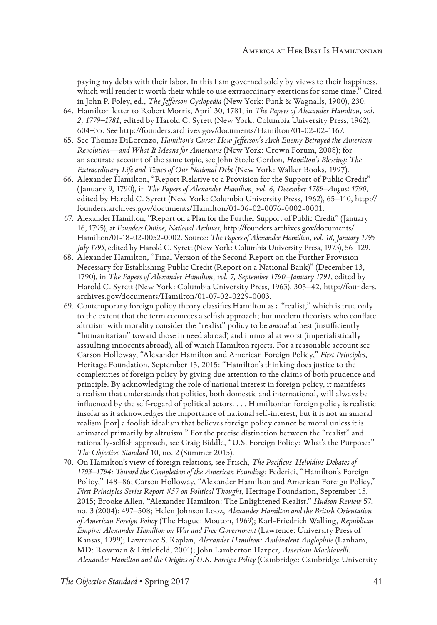paying my debts with their labor. In this I am governed solely by views to their happiness, which will render it worth their while to use extraordinary exertions for some time." Cited in John P. Foley, ed., *The Jefferson Cyclopedia* (New York: Funk & Wagnalls, 1900), 230.

- 64. Hamilton letter to Robert Morris, April 30, 1781, in *The Papers of Alexander Hamilton, vol. 2, 1779–1781*, edited by Harold C. Syrett (New York: Columbia University Press, 1962), 604–35. See http://founders.archives.gov/documents/Hamilton/01-02-02-1167.
- 65. See Thomas DiLorenzo, *Hamilton's Curse: How Jefferson's Arch Enemy Betrayed the American Revolution—and What It Means for Americans* (New York: Crown Forum, 2008); for an accurate account of the same topic, see John Steele Gordon, *Hamilton's Blessing: The Extraordinary Life and Times of Our National Debt* (New York: Walker Books, 1997).
- 66. Alexander Hamilton, "Report Relative to a Provision for the Support of Public Credit" (January 9, 1790), in *The Papers of Alexander Hamilton, vol. 6, December 1789–August 1790*, edited by Harold C. Syrett (New York: Columbia University Press, 1962), 65–110, http:// founders.archives.gov/documents/Hamilton/01-06-02-0076-0002-0001.
- 67. Alexander Hamilton, "Report on a Plan for the Further Support of Public Credit" (January 16, 1795), at *Founders Online, National Archives,* http://founders.archives.gov/documents/ Hamilton/01-18-02-0052-0002. Source: *The Papers of Alexander Hamilton, vol. 18, January 1795– July 1795*, edited by Harold C. Syrett (New York: Columbia University Press, 1973), 56–129.
- 68. Alexander Hamilton, "Final Version of the Second Report on the Further Provision Necessary for Establishing Public Credit (Report on a National Bank)" (December 13, 1790), in *The Papers of Alexander Hamilton, vol. 7, September 1790–January 1791*, edited by Harold C. Syrett (New York: Columbia University Press, 1963), 305–42, http://founders. archives.gov/documents/Hamilton/01-07-02-0229-0003.
- 69. Contemporary foreign policy theory classifies Hamilton as a "realist," which is true only to the extent that the term connotes a selfish approach; but modern theorists who conflate altruism with morality consider the "realist" policy to be *amoral* at best (insufficiently "humanitarian" toward those in need abroad) and immoral at worst (imperialistically assaulting innocents abroad), all of which Hamilton rejects. For a reasonable account see Carson Holloway, "Alexander Hamilton and American Foreign Policy," *First Principles*, Heritage Foundation, September 15, 2015: "Hamilton's thinking does justice to the complexities of foreign policy by giving due attention to the claims of both prudence and principle. By acknowledging the role of national interest in foreign policy, it manifests a realism that understands that politics, both domestic and international, will always be influenced by the self-regard of political actors. . . . Hamiltonian foreign policy is realistic insofar as it acknowledges the importance of national self-interest, but it is not an amoral realism [nor] a foolish idealism that believes foreign policy cannot be moral unless it is animated primarily by altruism." For the precise distinction between the "realist" and rationally-selfish approach, see Craig Biddle, "U.S. Foreign Policy: What's the Purpose?" *The Objective Standard* 10, no. 2 (Summer 2015).
- 70. On Hamilton's view of foreign relations, see Frisch, *The Pacificus-Helvidius Debates of 1793–1794: Toward the Completion of the American Founding*; Federici, "Hamilton's Foreign Policy," 148–86; Carson Holloway, "Alexander Hamilton and American Foreign Policy," *First Principles Series Report #57 on Political Thought*, Heritage Foundation, September 15, 2015; Brooke Allen, "Alexander Hamilton: The Enlightened Realist." *Hudson Review* 57, no. 3 (2004): 497–508; Helen Johnson Looz, *Alexander Hamilton and the British Orientation of American Foreign Policy* (The Hague: Mouton, 1969); Karl-Friedrich Walling, *Republican Empire: Alexander Hamilton on War and Free Government* (Lawrence: University Press of Kansas, 1999); Lawrence S. Kaplan, *Alexander Hamilton: Ambivalent Anglophile* (Lanham, MD: Rowman & Littlefield, 2001); John Lamberton Harper, *American Machiavelli: Alexander Hamilton and the Origins of U.S. Foreign Policy* (Cambridge: Cambridge University